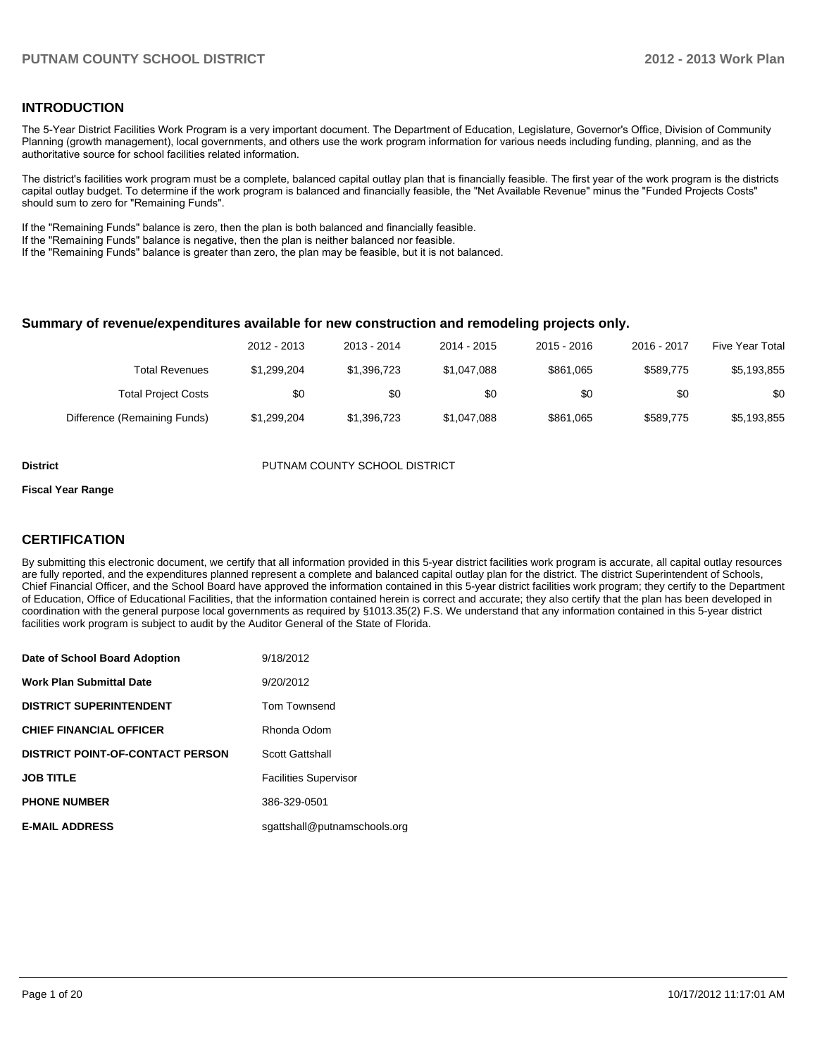#### **INTRODUCTION**

The 5-Year District Facilities Work Program is a very important document. The Department of Education, Legislature, Governor's Office, Division of Community Planning (growth management), local governments, and others use the work program information for various needs including funding, planning, and as the authoritative source for school facilities related information.

The district's facilities work program must be a complete, balanced capital outlay plan that is financially feasible. The first year of the work program is the districts capital outlay budget. To determine if the work program is balanced and financially feasible, the "Net Available Revenue" minus the "Funded Projects Costs" should sum to zero for "Remaining Funds".

If the "Remaining Funds" balance is zero, then the plan is both balanced and financially feasible.

If the "Remaining Funds" balance is negative, then the plan is neither balanced nor feasible.

If the "Remaining Funds" balance is greater than zero, the plan may be feasible, but it is not balanced.

#### **Summary of revenue/expenditures available for new construction and remodeling projects only.**

| Five Year Total | 2016 - 2017 | $2015 - 2016$ | 2014 - 2015 | 2013 - 2014 | 2012 - 2013 |                              |
|-----------------|-------------|---------------|-------------|-------------|-------------|------------------------------|
| \$5,193,855     | \$589.775   | \$861,065     | \$1.047.088 | \$1.396.723 | \$1.299.204 | <b>Total Revenues</b>        |
| \$0             | \$0         | \$0           | \$0         | \$0         | \$0         | <b>Total Project Costs</b>   |
| \$5,193,855     | \$589,775   | \$861,065     | \$1,047,088 | \$1.396.723 | \$1.299.204 | Difference (Remaining Funds) |

**District COUNTY SCHOOL DISTRICT** 

#### **Fiscal Year Range**

#### **CERTIFICATION**

By submitting this electronic document, we certify that all information provided in this 5-year district facilities work program is accurate, all capital outlay resources are fully reported, and the expenditures planned represent a complete and balanced capital outlay plan for the district. The district Superintendent of Schools, Chief Financial Officer, and the School Board have approved the information contained in this 5-year district facilities work program; they certify to the Department of Education, Office of Educational Facilities, that the information contained herein is correct and accurate; they also certify that the plan has been developed in coordination with the general purpose local governments as required by §1013.35(2) F.S. We understand that any information contained in this 5-year district facilities work program is subject to audit by the Auditor General of the State of Florida.

| Date of School Board Adoption           | 9/18/2012                    |
|-----------------------------------------|------------------------------|
| <b>Work Plan Submittal Date</b>         | 9/20/2012                    |
| <b>DISTRICT SUPERINTENDENT</b>          | Tom Townsend                 |
| <b>CHIEF FINANCIAL OFFICER</b>          | Rhonda Odom                  |
| <b>DISTRICT POINT-OF-CONTACT PERSON</b> | Scott Gattshall              |
| <b>JOB TITLE</b>                        | <b>Facilities Supervisor</b> |
| <b>PHONE NUMBER</b>                     | 386-329-0501                 |
| <b>E-MAIL ADDRESS</b>                   | sgattshall@putnamschools.org |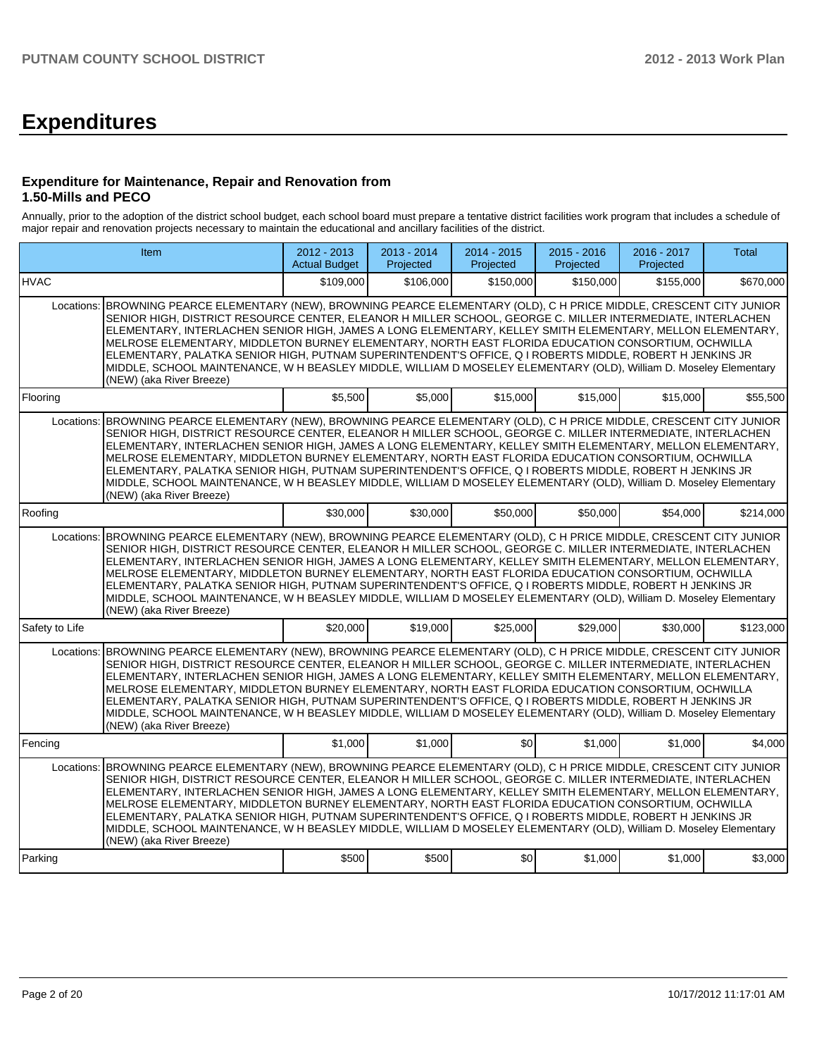# **Expenditures**

#### **Expenditure for Maintenance, Repair and Renovation from 1.50-Mills and PECO**

Annually, prior to the adoption of the district school budget, each school board must prepare a tentative district facilities work program that includes a schedule of major repair and renovation projects necessary to maintain the educational and ancillary facilities of the district.

|                | Item                                                                                                                                                                                                                                                                                                                                                                                                                                                                                                                                                                                                                                                                                                                   |           | 2013 - 2014<br>Projected | 2014 - 2015<br>Projected | 2015 - 2016<br>Projected | 2016 - 2017<br>Projected | Total     |  |  |  |  |
|----------------|------------------------------------------------------------------------------------------------------------------------------------------------------------------------------------------------------------------------------------------------------------------------------------------------------------------------------------------------------------------------------------------------------------------------------------------------------------------------------------------------------------------------------------------------------------------------------------------------------------------------------------------------------------------------------------------------------------------------|-----------|--------------------------|--------------------------|--------------------------|--------------------------|-----------|--|--|--|--|
| <b>HVAC</b>    |                                                                                                                                                                                                                                                                                                                                                                                                                                                                                                                                                                                                                                                                                                                        | \$109,000 | \$106,000                | \$150,000                | \$150,000                | \$155,000                | \$670,000 |  |  |  |  |
|                | BROWNING PEARCE ELEMENTARY (NEW), BROWNING PEARCE ELEMENTARY (OLD), C H PRICE MIDDLE, CRESCENT CITY JUNIOR<br>Locations:<br>SENIOR HIGH, DISTRICT RESOURCE CENTER, ELEANOR H MILLER SCHOOL, GEORGE C. MILLER INTERMEDIATE, INTERLACHEN<br>ELEMENTARY, INTERLACHEN SENIOR HIGH, JAMES A LONG ELEMENTARY, KELLEY SMITH ELEMENTARY, MELLON ELEMENTARY,<br>MELROSE ELEMENTARY, MIDDLETON BURNEY ELEMENTARY, NORTH EAST FLORIDA EDUCATION CONSORTIUM, OCHWILLA<br>ELEMENTARY, PALATKA SENIOR HIGH, PUTNAM SUPERINTENDENT'S OFFICE, Q I ROBERTS MIDDLE, ROBERT H JENKINS JR<br>MIDDLE, SCHOOL MAINTENANCE, W H BEASLEY MIDDLE, WILLIAM D MOSELEY ELEMENTARY (OLD), William D. Moseley Elementary<br>(NEW) (aka River Breeze) |           |                          |                          |                          |                          |           |  |  |  |  |
| Flooring       |                                                                                                                                                                                                                                                                                                                                                                                                                                                                                                                                                                                                                                                                                                                        | \$5,500   | \$5,000                  | \$15,000                 | \$15,000                 | \$15,000                 | \$55,500  |  |  |  |  |
| Locations:     | BROWNING PEARCE ELEMENTARY (NEW), BROWNING PEARCE ELEMENTARY (OLD), C H PRICE MIDDLE, CRESCENT CITY JUNIOR<br>SENIOR HIGH, DISTRICT RESOURCE CENTER, ELEANOR H MILLER SCHOOL, GEORGE C. MILLER INTERMEDIATE, INTERLACHEN<br>ELEMENTARY, INTERLACHEN SENIOR HIGH, JAMES A LONG ELEMENTARY, KELLEY SMITH ELEMENTARY, MELLON ELEMENTARY,<br>MELROSE ELEMENTARY, MIDDLETON BURNEY ELEMENTARY, NORTH EAST FLORIDA EDUCATION CONSORTIUM, OCHWILLA<br>ELEMENTARY, PALATKA SENIOR HIGH, PUTNAM SUPERINTENDENT'S OFFICE, Q I ROBERTS MIDDLE, ROBERT H JENKINS JR<br>MIDDLE, SCHOOL MAINTENANCE, W H BEASLEY MIDDLE, WILLIAM D MOSELEY ELEMENTARY (OLD), William D. Moseley Elementary<br>(NEW) (aka River Breeze)               |           |                          |                          |                          |                          |           |  |  |  |  |
| Roofing        |                                                                                                                                                                                                                                                                                                                                                                                                                                                                                                                                                                                                                                                                                                                        | \$30,000  | \$30,000                 | \$50,000                 | \$50,000                 | \$54,000                 | \$214,000 |  |  |  |  |
| Locations:     | BROWNING PEARCE ELEMENTARY (NEW), BROWNING PEARCE ELEMENTARY (OLD), C H PRICE MIDDLE, CRESCENT CITY JUNIOR<br>SENIOR HIGH, DISTRICT RESOURCE CENTER, ELEANOR H MILLER SCHOOL, GEORGE C. MILLER INTERMEDIATE, INTERLACHEN<br>ELEMENTARY, INTERLACHEN SENIOR HIGH, JAMES A LONG ELEMENTARY, KELLEY SMITH ELEMENTARY, MELLON ELEMENTARY,<br>MELROSE ELEMENTARY, MIDDLETON BURNEY ELEMENTARY, NORTH EAST FLORIDA EDUCATION CONSORTIUM, OCHWILLA<br>ELEMENTARY, PALATKA SENIOR HIGH, PUTNAM SUPERINTENDENT'S OFFICE, Q I ROBERTS MIDDLE, ROBERT H JENKINS JR<br>MIDDLE, SCHOOL MAINTENANCE, W H BEASLEY MIDDLE, WILLIAM D MOSELEY ELEMENTARY (OLD), William D. Moseley Elementary<br>(NEW) (aka River Breeze)               |           |                          |                          |                          |                          |           |  |  |  |  |
| Safety to Life |                                                                                                                                                                                                                                                                                                                                                                                                                                                                                                                                                                                                                                                                                                                        | \$20,000  | \$19,000                 | \$25,000                 | \$29,000                 | \$30,000                 | \$123,000 |  |  |  |  |
| Locations:     | BROWNING PEARCE ELEMENTARY (NEW), BROWNING PEARCE ELEMENTARY (OLD), C H PRICE MIDDLE, CRESCENT CITY JUNIOR<br>SENIOR HIGH, DISTRICT RESOURCE CENTER, ELEANOR H MILLER SCHOOL, GEORGE C. MILLER INTERMEDIATE, INTERLACHEN<br>ELEMENTARY, INTERLACHEN SENIOR HIGH, JAMES A LONG ELEMENTARY, KELLEY SMITH ELEMENTARY, MELLON ELEMENTARY,<br>MELROSE ELEMENTARY. MIDDLETON BURNEY ELEMENTARY. NORTH EAST FLORIDA EDUCATION CONSORTIUM. OCHWILLA<br>ELEMENTARY, PALATKA SENIOR HIGH, PUTNAM SUPERINTENDENT'S OFFICE, Q I ROBERTS MIDDLE, ROBERT H JENKINS JR<br>MIDDLE, SCHOOL MAINTENANCE, W H BEASLEY MIDDLE, WILLIAM D MOSELEY ELEMENTARY (OLD), William D. Moseley Elementary<br>(NEW) (aka River Breeze)               |           |                          |                          |                          |                          |           |  |  |  |  |
| Fencing        |                                                                                                                                                                                                                                                                                                                                                                                                                                                                                                                                                                                                                                                                                                                        | \$1,000   | \$1,000                  | \$0                      | \$1,000                  | \$1,000                  | \$4,000   |  |  |  |  |
| Locations:     | BROWNING PEARCE ELEMENTARY (NEW), BROWNING PEARCE ELEMENTARY (OLD), C H PRICE MIDDLE, CRESCENT CITY JUNIOR<br>SENIOR HIGH, DISTRICT RESOURCE CENTER, ELEANOR H MILLER SCHOOL, GEORGE C. MILLER INTERMEDIATE, INTERLACHEN<br>ELEMENTARY, INTERLACHEN SENIOR HIGH, JAMES A LONG ELEMENTARY, KELLEY SMITH ELEMENTARY, MELLON ELEMENTARY,<br>MELROSE ELEMENTARY, MIDDLETON BURNEY ELEMENTARY, NORTH EAST FLORIDA EDUCATION CONSORTIUM, OCHWILLA<br>ELEMENTARY, PALATKA SENIOR HIGH, PUTNAM SUPERINTENDENT'S OFFICE, Q I ROBERTS MIDDLE, ROBERT H JENKINS JR<br>MIDDLE, SCHOOL MAINTENANCE, W H BEASLEY MIDDLE, WILLIAM D MOSELEY ELEMENTARY (OLD), William D. Moseley Elementary<br>(NEW) (aka River Breeze)               |           |                          |                          |                          |                          |           |  |  |  |  |
| Parking        |                                                                                                                                                                                                                                                                                                                                                                                                                                                                                                                                                                                                                                                                                                                        | \$500     | \$500                    | \$0]                     | \$1,000                  | \$1,000                  | \$3,000   |  |  |  |  |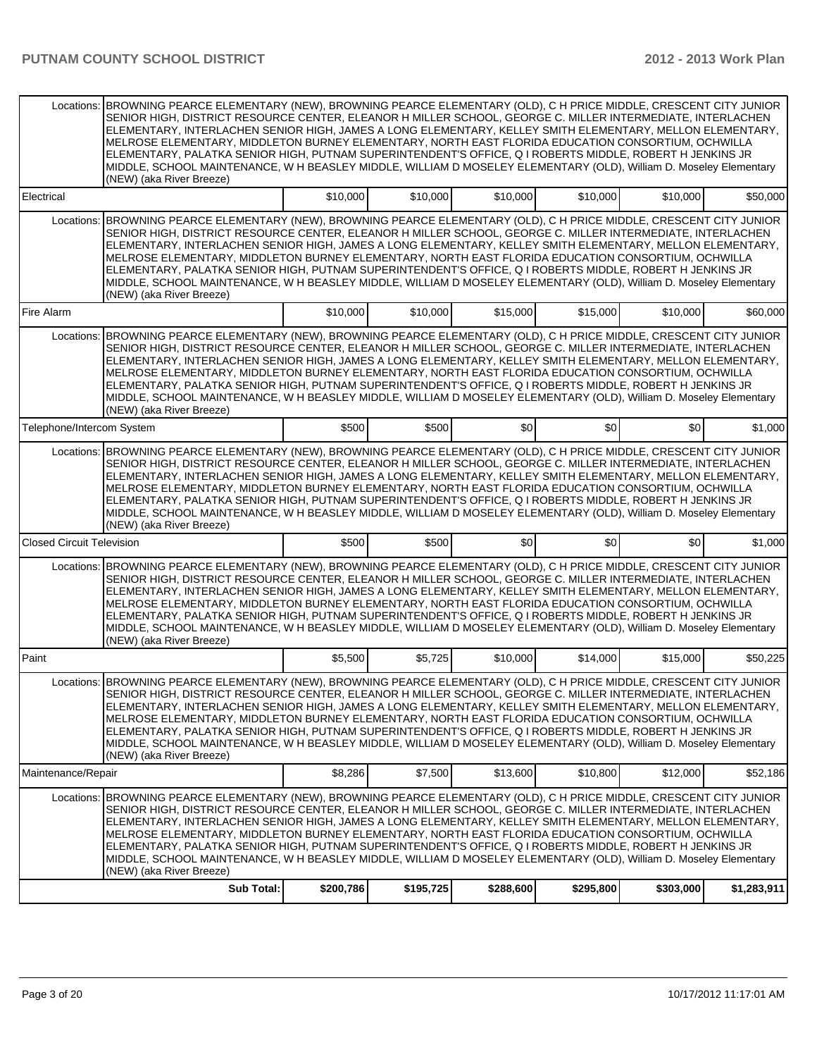|                                  | Locations: BROWNING PEARCE ELEMENTARY (NEW), BROWNING PEARCE ELEMENTARY (OLD), C H PRICE MIDDLE, CRESCENT CITY JUNIOR<br>SENIOR HIGH, DISTRICT RESOURCE CENTER, ELEANOR H MILLER SCHOOL, GEORGE C. MILLER INTERMEDIATE, INTERLACHEN<br>ELEMENTARY, INTERLACHEN SENIOR HIGH, JAMES A LONG ELEMENTARY, KELLEY SMITH ELEMENTARY, MELLON ELEMENTARY,<br>MELROSE ELEMENTARY, MIDDLETON BURNEY ELEMENTARY, NORTH EAST FLORIDA EDUCATION CONSORTIUM, OCHWILLA<br>ELEMENTARY, PALATKA SENIOR HIGH, PUTNAM SUPERINTENDENT'S OFFICE, Q I ROBERTS MIDDLE, ROBERT H JENKINS JR<br>MIDDLE, SCHOOL MAINTENANCE, W H BEASLEY MIDDLE, WILLIAM D MOSELEY ELEMENTARY (OLD), William D. Moseley Elementary<br>(NEW) (aka River Breeze)                      |           |           |           |           |           |             |
|----------------------------------|------------------------------------------------------------------------------------------------------------------------------------------------------------------------------------------------------------------------------------------------------------------------------------------------------------------------------------------------------------------------------------------------------------------------------------------------------------------------------------------------------------------------------------------------------------------------------------------------------------------------------------------------------------------------------------------------------------------------------------------|-----------|-----------|-----------|-----------|-----------|-------------|
| Electrical                       |                                                                                                                                                                                                                                                                                                                                                                                                                                                                                                                                                                                                                                                                                                                                          | \$10,000  | \$10,000  | \$10,000  | \$10,000  | \$10,000  | \$50,000    |
|                                  | Locations: BROWNING PEARCE ELEMENTARY (NEW), BROWNING PEARCE ELEMENTARY (OLD), C H PRICE MIDDLE, CRESCENT CITY JUNIOR<br>SENIOR HIGH, DISTRICT RESOURCE CENTER, ELEANOR H MILLER SCHOOL, GEORGE C. MILLER INTERMEDIATE, INTERLACHEN<br>ELEMENTARY, INTERLACHEN SENIOR HIGH, JAMES A LONG ELEMENTARY, KELLEY SMITH ELEMENTARY, MELLON ELEMENTARY,<br>MELROSE ELEMENTARY, MIDDLETON BURNEY ELEMENTARY, NORTH EAST FLORIDA EDUCATION CONSORTIUM, OCHWILLA<br>ELEMENTARY, PALATKA SENIOR HIGH, PUTNAM SUPERINTENDENT'S OFFICE, Q I ROBERTS MIDDLE, ROBERT H JENKINS JR<br>MIDDLE, SCHOOL MAINTENANCE, W H BEASLEY MIDDLE, WILLIAM D MOSELEY ELEMENTARY (OLD), William D. Moseley Elementary<br>(NEW) (aka River Breeze)                      |           |           |           |           |           |             |
| Fire Alarm                       |                                                                                                                                                                                                                                                                                                                                                                                                                                                                                                                                                                                                                                                                                                                                          | \$10,000  | \$10,000  | \$15,000  | \$15,000  | \$10,000  | \$60,000    |
|                                  | Locations: BROWNING PEARCE ELEMENTARY (NEW), BROWNING PEARCE ELEMENTARY (OLD), C H PRICE MIDDLE, CRESCENT CITY JUNIOR<br>SENIOR HIGH, DISTRICT RESOURCE CENTER, ELEANOR H MILLER SCHOOL, GEORGE C. MILLER INTERMEDIATE, INTERLACHEN<br>ELEMENTARY, INTERLACHEN SENIOR HIGH, JAMES A LONG ELEMENTARY, KELLEY SMITH ELEMENTARY, MELLON ELEMENTARY,<br>MELROSE ELEMENTARY, MIDDLETON BURNEY ELEMENTARY, NORTH EAST FLORIDA EDUCATION CONSORTIUM, OCHWILLA<br>ELEMENTARY, PALATKA SENIOR HIGH, PUTNAM SUPERINTENDENT'S OFFICE, Q I ROBERTS MIDDLE, ROBERT H JENKINS JR<br>MIDDLE, SCHOOL MAINTENANCE, W H BEASLEY MIDDLE, WILLIAM D MOSELEY ELEMENTARY (OLD), William D. Moseley Elementary<br>(NEW) (aka River Breeze)                      |           |           |           |           |           |             |
| Telephone/Intercom System        |                                                                                                                                                                                                                                                                                                                                                                                                                                                                                                                                                                                                                                                                                                                                          | \$500     | \$500     | \$0       | \$0       | \$0       | \$1,000     |
|                                  | Locations: BROWNING PEARCE ELEMENTARY (NEW), BROWNING PEARCE ELEMENTARY (OLD), C H PRICE MIDDLE, CRESCENT CITY JUNIOR<br>SENIOR HIGH. DISTRICT RESOURCE CENTER. ELEANOR H MILLER SCHOOL. GEORGE C. MILLER INTERMEDIATE. INTERLACHEN<br>ELEMENTARY, INTERLACHEN SENIOR HIGH, JAMES A LONG ELEMENTARY, KELLEY SMITH ELEMENTARY, MELLON ELEMENTARY,<br>MELROSE ELEMENTARY, MIDDLETON BURNEY ELEMENTARY, NORTH EAST FLORIDA EDUCATION CONSORTIUM, OCHWILLA<br>ELEMENTARY, PALATKA SENIOR HIGH, PUTNAM SUPERINTENDENT'S OFFICE, Q I ROBERTS MIDDLE, ROBERT H JENKINS JR<br>MIDDLE, SCHOOL MAINTENANCE, W H BEASLEY MIDDLE, WILLIAM D MOSELEY ELEMENTARY (OLD), William D. Moseley Elementary<br>(NEW) (aka River Breeze)                      |           |           |           |           |           |             |
| <b>Closed Circuit Television</b> |                                                                                                                                                                                                                                                                                                                                                                                                                                                                                                                                                                                                                                                                                                                                          | \$500     | \$500     | \$0       | \$0       | \$0       | \$1,000     |
|                                  | Locations: BROWNING PEARCE ELEMENTARY (NEW), BROWNING PEARCE ELEMENTARY (OLD), C H PRICE MIDDLE, CRESCENT CITY JUNIOR<br>SENIOR HIGH, DISTRICT RESOURCE CENTER, ELEANOR H MILLER SCHOOL, GEORGE C. MILLER INTERMEDIATE, INTERLACHEN<br>ELEMENTARY, INTERLACHEN SENIOR HIGH, JAMES A LONG ELEMENTARY, KELLEY SMITH ELEMENTARY, MELLON ELEMENTARY,<br>MELROSE ELEMENTARY, MIDDLETON BURNEY ELEMENTARY, NORTH EAST FLORIDA EDUCATION CONSORTIUM, OCHWILLA<br>ELEMENTARY, PALATKA SENIOR HIGH, PUTNAM SUPERINTENDENT'S OFFICE, Q I ROBERTS MIDDLE, ROBERT H JENKINS JR<br>MIDDLE, SCHOOL MAINTENANCE, W H BEASLEY MIDDLE, WILLIAM D MOSELEY ELEMENTARY (OLD), William D. Moseley Elementary<br>(NEW) (aka River Breeze)                      |           |           |           |           |           |             |
| <b>Paint</b>                     |                                                                                                                                                                                                                                                                                                                                                                                                                                                                                                                                                                                                                                                                                                                                          | \$5,500   | \$5.725   | \$10,000  | \$14,000  | \$15,000  | \$50,225    |
|                                  | Locations: BROWNING PEARCE ELEMENTARY (NEW), BROWNING PEARCE ELEMENTARY (OLD), C H PRICE MIDDLE, CRESCENT CITY JUNIOR<br>SENIOR HIGH, DISTRICT RESOURCE CENTER, ELEANOR H MILLER SCHOOL, GEORGE C. MILLER INTERMEDIATE, INTERLACHEN<br>ELEMENTARY, INTERLACHEN SENIOR HIGH, JAMES A LONG ELEMENTARY, KELLEY SMITH ELEMENTARY, MELLON ELEMENTARY,<br>MELROSE ELEMENTARY, MIDDLETON BURNEY ELEMENTARY, NORTH EAST FLORIDA EDUCATION CONSORTIUM, OCHWILLA<br>ELEMENTARY, PALATKA SENIOR HIGH, PUTNAM SUPERINTENDENT'S OFFICE, Q I ROBERTS MIDDLE, ROBERT H JENKINS JR<br>MIDDLE, SCHOOL MAINTENANCE, W H BEASLEY MIDDLE, WILLIAM D MOSELEY ELEMENTARY (OLD), William D. Moseley Elementary<br>(NEW) (aka River Breeze)                      |           |           |           |           |           |             |
| Maintenance/Repair               |                                                                                                                                                                                                                                                                                                                                                                                                                                                                                                                                                                                                                                                                                                                                          | \$8,286   | \$7,500   | \$13,600  | \$10,800  | \$12,000  | \$52,186    |
|                                  | Locations: BROWNING PEARCE ELEMENTARY (NEW), BROWNING PEARCE ELEMENTARY (OLD), C H PRICE MIDDLE, CRESCENT CITY JUNIOR<br>SENIOR HIGH, DISTRICT RESOURCE CENTER, ELEANOR H MILLER SCHOOL, GEORGE C. MILLER INTERMEDIATE, INTERLACHEN<br>ELEMENTARY, INTERLACHEN SENIOR HIGH, JAMES A LONG ELEMENTARY, KELLEY SMITH ELEMENTARY, MELLON ELEMENTARY,<br>MELROSE ELEMENTARY, MIDDLETON BURNEY ELEMENTARY, NORTH EAST FLORIDA EDUCATION CONSORTIUM, OCHWILLA<br>ELEMENTARY, PALATKA SENIOR HIGH, PUTNAM SUPERINTENDENT'S OFFICE, Q I ROBERTS MIDDLE, ROBERT H JENKINS JR<br>MIDDLE, SCHOOL MAINTENANCE, W H BEASLEY MIDDLE, WILLIAM D MOSELEY ELEMENTARY (OLD), William D. Moseley Elementary<br>(NEW) (aka River Breeze)<br><b>Sub Total:</b> | \$200,786 | \$195,725 | \$288,600 | \$295,800 | \$303,000 | \$1,283,911 |
|                                  |                                                                                                                                                                                                                                                                                                                                                                                                                                                                                                                                                                                                                                                                                                                                          |           |           |           |           |           |             |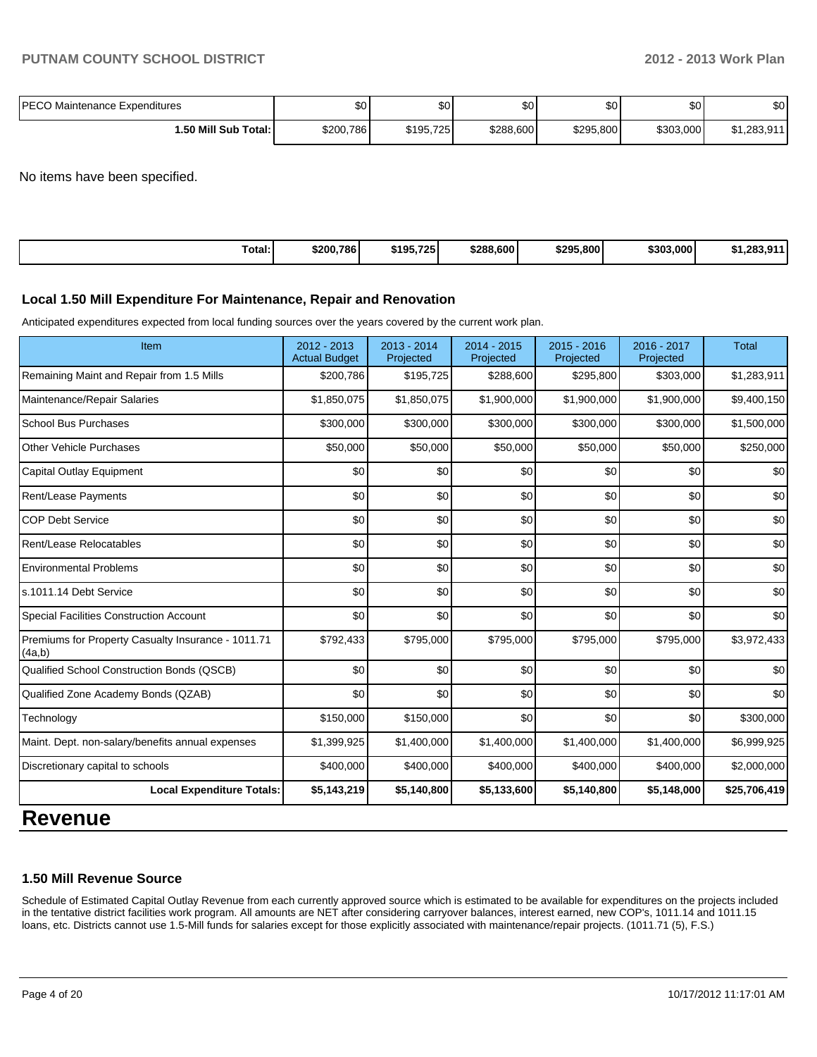| <b>IPECO Maintenance Expenditures</b> | \$0       | ጦጣ<br>υu  | \$0 <sub>1</sub> | ሶስ<br>υU  | ا 30      | ¢Λ<br>ΦU |
|---------------------------------------|-----------|-----------|------------------|-----------|-----------|----------|
| 1.50 Mill Sub Total:                  | \$200,786 | \$195,725 | \$288,600        | \$295,800 | \$303.000 | .283,911 |

No items have been specified.

| Total: | \$200,786 | \$195.725 | \$288,600 | \$295,800 | \$303,000 | \$1.283.9<br>$\mathbf{A}$ |
|--------|-----------|-----------|-----------|-----------|-----------|---------------------------|
|--------|-----------|-----------|-----------|-----------|-----------|---------------------------|

#### **Local 1.50 Mill Expenditure For Maintenance, Repair and Renovation**

Anticipated expenditures expected from local funding sources over the years covered by the current work plan.

| Item                                                         | $2012 - 2013$<br><b>Actual Budget</b> | 2013 - 2014<br>Projected | $2014 - 2015$<br>Projected | $2015 - 2016$<br>Projected | 2016 - 2017<br>Projected | <b>Total</b> |
|--------------------------------------------------------------|---------------------------------------|--------------------------|----------------------------|----------------------------|--------------------------|--------------|
| Remaining Maint and Repair from 1.5 Mills                    | \$200,786                             | \$195,725                | \$288,600                  | \$295,800                  | \$303,000                | \$1,283,911  |
| Maintenance/Repair Salaries                                  | \$1,850,075                           | \$1,850,075              | \$1,900,000                | \$1,900,000                | \$1,900,000              | \$9,400,150  |
| <b>School Bus Purchases</b>                                  | \$300,000                             | \$300,000                | \$300,000                  | \$300,000                  | \$300,000                | \$1,500,000  |
| <b>Other Vehicle Purchases</b>                               | \$50,000                              | \$50,000                 | \$50,000                   | \$50,000                   | \$50,000                 | \$250,000    |
| <b>Capital Outlay Equipment</b>                              | \$0                                   | \$0                      | \$0                        | \$0                        | \$0                      | \$0          |
| Rent/Lease Payments                                          | \$0                                   | \$0                      | \$0                        | \$0                        | \$0                      | \$0          |
| <b>COP Debt Service</b>                                      | \$0                                   | \$0                      | \$0                        | \$0                        | \$0                      | \$0          |
| Rent/Lease Relocatables                                      | \$0                                   | \$0                      | \$0                        | \$0                        | \$0                      | \$0          |
| <b>Environmental Problems</b>                                | \$0                                   | \$0                      | \$0                        | \$0                        | \$0                      | \$0          |
| s.1011.14 Debt Service                                       | \$0                                   | \$0                      | \$0                        | \$0                        | \$0                      | \$0          |
| <b>Special Facilities Construction Account</b>               | \$0                                   | \$0                      | \$0                        | \$0                        | \$0                      | \$0          |
| Premiums for Property Casualty Insurance - 1011.71<br>(4a,b) | \$792,433                             | \$795,000                | \$795,000                  | \$795,000                  | \$795,000                | \$3,972,433  |
| Qualified School Construction Bonds (QSCB)                   | \$0                                   | \$0                      | \$0                        | \$0                        | \$0                      | \$0          |
| Qualified Zone Academy Bonds (QZAB)                          | \$0                                   | \$0                      | \$0                        | \$0                        | \$0                      | \$0          |
| Technology                                                   | \$150,000                             | \$150,000                | \$0                        | \$0                        | \$0                      | \$300,000    |
| Maint. Dept. non-salary/benefits annual expenses             | \$1,399,925                           | \$1,400,000              | \$1,400,000                | \$1,400,000                | \$1,400,000              | \$6,999,925  |
| Discretionary capital to schools                             | \$400,000                             | \$400,000                | \$400,000                  | \$400,000                  | \$400,000                | \$2,000,000  |
| <b>Local Expenditure Totals:</b>                             | \$5,143,219                           | \$5,140,800              | \$5,133,600                | \$5,140,800                | \$5,148,000              | \$25,706,419 |

# **Revenue**

#### **1.50 Mill Revenue Source**

Schedule of Estimated Capital Outlay Revenue from each currently approved source which is estimated to be available for expenditures on the projects included in the tentative district facilities work program. All amounts are NET after considering carryover balances, interest earned, new COP's, 1011.14 and 1011.15 loans, etc. Districts cannot use 1.5-Mill funds for salaries except for those explicitly associated with maintenance/repair projects. (1011.71 (5), F.S.)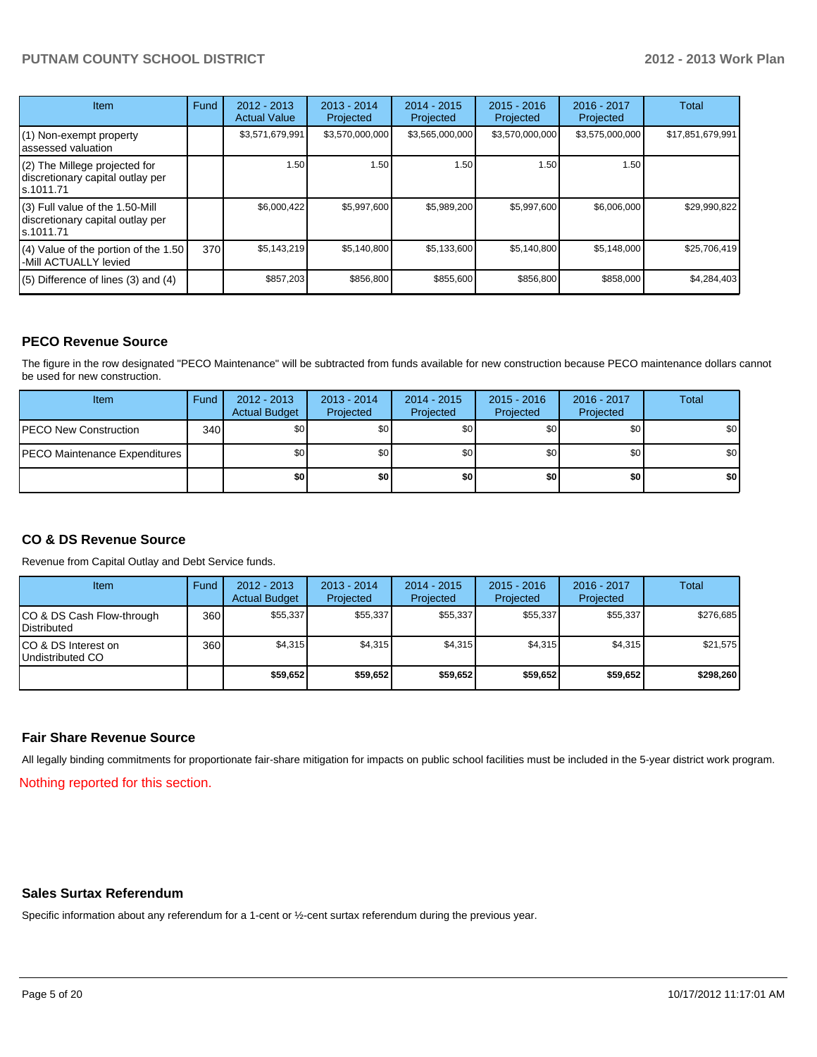| <b>Item</b>                                                                       | Fund | 2012 - 2013<br><b>Actual Value</b> | 2013 - 2014<br>Projected | $2014 - 2015$<br>Projected | $2015 - 2016$<br>Projected | 2016 - 2017<br>Projected | Total            |
|-----------------------------------------------------------------------------------|------|------------------------------------|--------------------------|----------------------------|----------------------------|--------------------------|------------------|
| (1) Non-exempt property<br>lassessed valuation                                    |      | \$3,571,679,991                    | \$3,570,000,000          | \$3,565,000,000            | \$3,570,000,000            | \$3,575,000,000          | \$17,851,679,991 |
| (2) The Millege projected for<br>discretionary capital outlay per<br>ls.1011.71   |      | 1.50                               | 1.50                     | 1.50                       | 1.50                       | 1.50                     |                  |
| (3) Full value of the 1.50-Mill<br>discretionary capital outlay per<br>ls.1011.71 |      | \$6,000,422                        | \$5,997,600              | \$5,989,200                | \$5,997,600                | \$6,006,000              | \$29,990,822     |
| (4) Value of the portion of the 1.50<br>-Mill ACTUALLY levied                     | 370  | \$5,143,219                        | \$5,140,800              | \$5,133,600                | \$5,140,800                | \$5,148,000              | \$25,706,419     |
| $(5)$ Difference of lines $(3)$ and $(4)$                                         |      | \$857,203                          | \$856,800                | \$855,600                  | \$856,800                  | \$858,000                | \$4,284,403      |

#### **PECO Revenue Source**

The figure in the row designated "PECO Maintenance" will be subtracted from funds available for new construction because PECO maintenance dollars cannot be used for new construction.

| Item                                 | Fund | $2012 - 2013$<br><b>Actual Budget</b> | $2013 - 2014$<br>Projected | $2014 - 2015$<br>Projected | $2015 - 2016$<br>Projected | $2016 - 2017$<br>Projected | <b>Total</b> |
|--------------------------------------|------|---------------------------------------|----------------------------|----------------------------|----------------------------|----------------------------|--------------|
| <b>IPECO New Construction</b>        | 340  | \$0                                   | \$0 <sub>1</sub>           | \$0                        | \$0                        | \$0                        | \$0          |
| <b>PECO Maintenance Expenditures</b> |      | \$0                                   | \$0 <sub>1</sub>           | \$0 <sub>1</sub>           | \$٥Ι                       | \$0                        | \$0          |
|                                      |      | \$0                                   | \$0                        | \$0                        | \$0                        | \$0                        | \$0          |

#### **CO & DS Revenue Source**

Revenue from Capital Outlay and Debt Service funds.

| Item                                               | Fund | $2012 - 2013$<br><b>Actual Budget</b> | $2013 - 2014$<br>Projected | $2014 - 2015$<br>Projected | $2015 - 2016$<br>Projected | $2016 - 2017$<br>Projected | Total     |
|----------------------------------------------------|------|---------------------------------------|----------------------------|----------------------------|----------------------------|----------------------------|-----------|
| ICO & DS Cash Flow-through<br><b>I</b> Distributed | 360  | \$55.337                              | \$55,337                   | \$55,337                   | \$55,337                   | \$55,337                   | \$276,685 |
| ICO & DS Interest on<br>Undistributed CO           | 360  | \$4.315                               | \$4,315                    | \$4,315                    | \$4.315                    | \$4,315                    | \$21,575  |
|                                                    |      | \$59,652                              | \$59,652                   | \$59,652                   | \$59,652                   | \$59,652                   | \$298,260 |

#### **Fair Share Revenue Source**

All legally binding commitments for proportionate fair-share mitigation for impacts on public school facilities must be included in the 5-year district work program.

Nothing reported for this section.

#### **Sales Surtax Referendum**

Specific information about any referendum for a 1-cent or ½-cent surtax referendum during the previous year.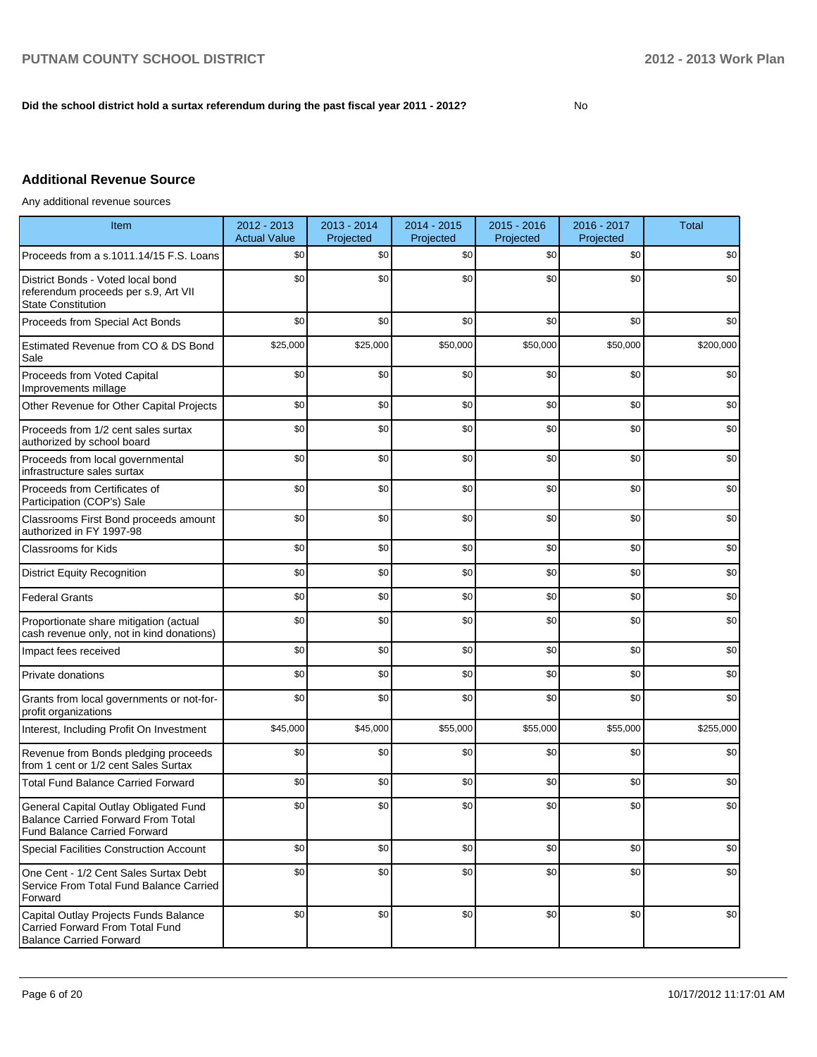#### **Did the school district hold a surtax referendum during the past fiscal year 2011 - 2012?**

No

## **Additional Revenue Source**

Any additional revenue sources

| Item                                                                                                                      | 2012 - 2013<br><b>Actual Value</b> | 2013 - 2014<br>Projected | 2014 - 2015<br>Projected | 2015 - 2016<br>Projected | 2016 - 2017<br>Projected | <b>Total</b> |
|---------------------------------------------------------------------------------------------------------------------------|------------------------------------|--------------------------|--------------------------|--------------------------|--------------------------|--------------|
| Proceeds from a s.1011.14/15 F.S. Loans                                                                                   | \$0                                | \$0                      | \$0                      | \$0                      | \$0                      | \$0          |
| District Bonds - Voted local bond<br>referendum proceeds per s.9, Art VII<br><b>State Constitution</b>                    | \$0                                | \$0                      | \$0                      | \$0                      | \$0                      | \$0          |
| Proceeds from Special Act Bonds                                                                                           | \$0                                | \$0                      | \$0                      | \$0                      | \$0                      | \$0          |
| Estimated Revenue from CO & DS Bond<br>Sale                                                                               | \$25,000                           | \$25,000                 | \$50,000                 | \$50,000                 | \$50,000                 | \$200,000    |
| Proceeds from Voted Capital<br>Improvements millage                                                                       | \$0                                | \$0                      | \$0                      | \$0                      | \$0                      | \$0          |
| Other Revenue for Other Capital Projects                                                                                  | \$0                                | \$0                      | \$0                      | \$0                      | \$0                      | \$0          |
| Proceeds from 1/2 cent sales surtax<br>authorized by school board                                                         | \$0                                | \$0                      | \$0                      | \$0                      | \$0                      | \$0          |
| Proceeds from local governmental<br>infrastructure sales surtax                                                           | \$0                                | \$0                      | \$0                      | \$0                      | \$0                      | \$0          |
| Proceeds from Certificates of<br>Participation (COP's) Sale                                                               | \$0                                | \$0                      | \$0                      | \$0                      | \$0                      | \$0          |
| Classrooms First Bond proceeds amount<br>authorized in FY 1997-98                                                         | \$0                                | \$0                      | \$0                      | \$0                      | \$0                      | \$0          |
| <b>Classrooms for Kids</b>                                                                                                | \$0                                | \$0                      | \$0                      | \$0                      | \$0                      | \$0          |
| <b>District Equity Recognition</b>                                                                                        | \$0                                | \$0                      | \$0                      | \$0                      | \$0                      | \$0          |
| <b>Federal Grants</b>                                                                                                     | \$0                                | \$0                      | \$0                      | \$0                      | \$0                      | \$0          |
| Proportionate share mitigation (actual<br>cash revenue only, not in kind donations)                                       | \$0                                | \$0                      | \$0                      | \$0                      | \$0                      | \$0          |
| Impact fees received                                                                                                      | \$0                                | \$0                      | \$0                      | \$0                      | \$0                      | \$0          |
| Private donations                                                                                                         | \$0                                | \$0                      | \$0                      | \$0                      | \$0                      | \$0          |
| Grants from local governments or not-for-<br>profit organizations                                                         | \$0                                | \$0                      | \$0                      | \$0                      | \$0                      | \$0          |
| Interest, Including Profit On Investment                                                                                  | \$45,000                           | \$45,000                 | \$55,000                 | \$55,000                 | \$55,000                 | \$255,000    |
| Revenue from Bonds pledging proceeds<br>from 1 cent or 1/2 cent Sales Surtax                                              | \$0                                | \$0                      | \$0                      | \$0                      | \$0                      | \$0          |
| <b>Total Fund Balance Carried Forward</b>                                                                                 | \$0                                | \$0                      | \$0                      | \$0                      | \$0                      | \$0          |
| General Capital Outlay Obligated Fund<br><b>Balance Carried Forward From Total</b><br><b>Fund Balance Carried Forward</b> | \$0                                | \$0                      | \$0                      | \$0                      | \$0                      | \$0          |
| <b>Special Facilities Construction Account</b>                                                                            | \$0                                | \$0                      | \$0                      | \$0                      | \$0                      | \$0          |
| One Cent - 1/2 Cent Sales Surtax Debt<br>Service From Total Fund Balance Carried<br>Forward                               | \$0                                | \$0                      | \$0                      | \$0                      | \$0                      | \$0          |
| Capital Outlay Projects Funds Balance<br>Carried Forward From Total Fund<br><b>Balance Carried Forward</b>                | \$0                                | \$0                      | \$0                      | \$0                      | \$0                      | \$0          |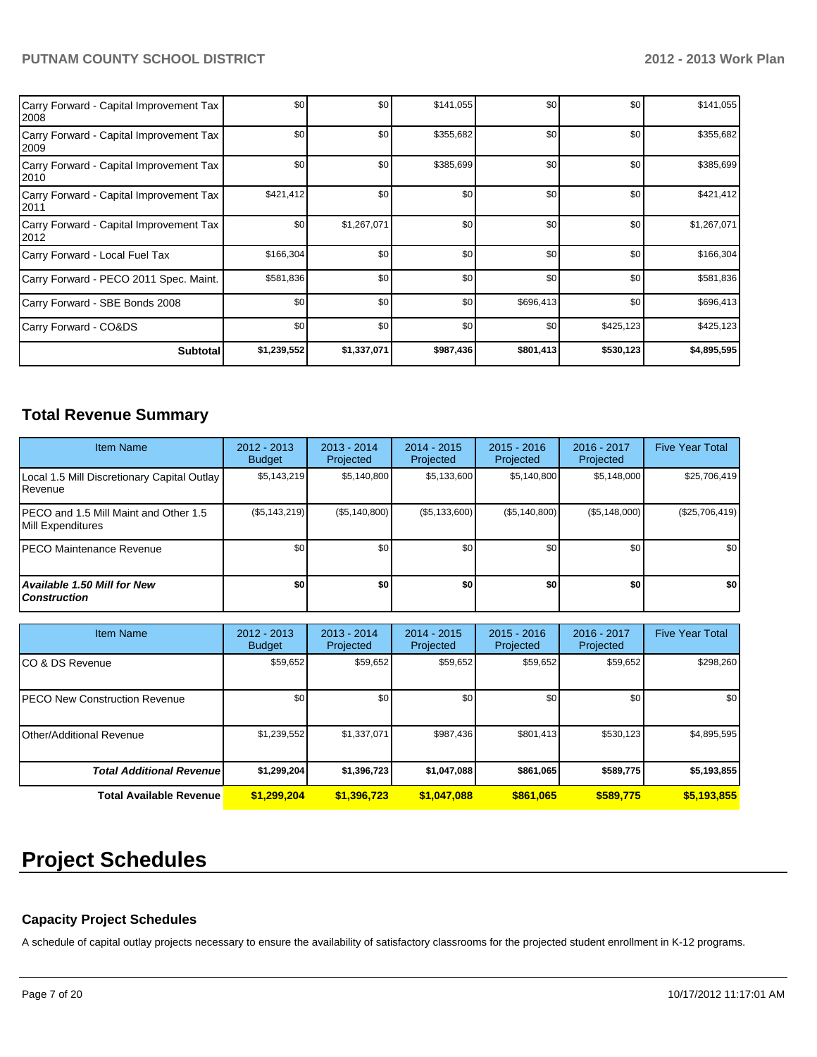| Carry Forward - Capital Improvement Tax<br>2008 | \$0         | \$0         | \$141,055 | \$0       | \$0       | \$141,055   |
|-------------------------------------------------|-------------|-------------|-----------|-----------|-----------|-------------|
| Carry Forward - Capital Improvement Tax<br>2009 | \$0         | \$0         | \$355,682 | \$0       | \$0       | \$355,682   |
| Carry Forward - Capital Improvement Tax<br>2010 | \$0         | \$0         | \$385,699 | \$0       | \$0       | \$385,699   |
| Carry Forward - Capital Improvement Tax<br>2011 | \$421,412   | \$0         | \$0       | \$0       | \$0       | \$421,412   |
| Carry Forward - Capital Improvement Tax<br>2012 | \$0         | \$1,267,071 | \$0       | \$0       | \$0       | \$1,267,071 |
| Carry Forward - Local Fuel Tax                  | \$166,304   | \$0         | \$0       | \$0       | \$0       | \$166,304   |
| Carry Forward - PECO 2011 Spec. Maint.          | \$581,836   | \$0         | \$0       | \$0       | \$0       | \$581,836   |
| Carry Forward - SBE Bonds 2008                  | \$0         | \$0         | \$0       | \$696,413 | \$0       | \$696,413   |
| Carry Forward - CO&DS                           | \$0         | \$0         | \$0       | \$0       | \$425,123 | \$425,123   |
| <b>Subtotal</b>                                 | \$1,239,552 | \$1,337,071 | \$987,436 | \$801,413 | \$530,123 | \$4,895,595 |

## **Total Revenue Summary**

| <b>Item Name</b>                                                | 2012 - 2013<br><b>Budget</b> | $2013 - 2014$<br>Projected | 2014 - 2015<br>Projected | $2015 - 2016$<br>Projected | 2016 - 2017<br>Projected | <b>Five Year Total</b> |
|-----------------------------------------------------------------|------------------------------|----------------------------|--------------------------|----------------------------|--------------------------|------------------------|
| Local 1.5 Mill Discretionary Capital Outlay<br><b>I</b> Revenue | \$5,143,219                  | \$5,140,800                | \$5,133,600              | \$5,140,800                | \$5,148,000              | \$25,706,419           |
| IPECO and 1.5 Mill Maint and Other 1.5<br>Mill Expenditures     | $(\$5, 143, 219)$            | (S5, 140, 800)             | (S5, 133, 600)           | (S5, 140, 800)             | (S5, 148, 000)           | (\$25,706,419)         |
| IPECO Maintenance Revenue                                       | \$0                          | \$0                        | \$0                      | \$0                        | \$0                      | \$0                    |
| Available 1.50 Mill for New l<br>l Construction                 | \$0                          | \$0                        | \$0                      | \$O                        | \$O I                    | \$0                    |

| <b>Item Name</b>                     | $2012 - 2013$<br><b>Budget</b> | $2013 - 2014$<br>Projected | $2014 - 2015$<br>Projected | $2015 - 2016$<br>Projected | $2016 - 2017$<br>Projected | <b>Five Year Total</b> |
|--------------------------------------|--------------------------------|----------------------------|----------------------------|----------------------------|----------------------------|------------------------|
| ICO & DS Revenue                     | \$59,652                       | \$59,652                   | \$59,652                   | \$59,652                   | \$59,652                   | \$298,260              |
| <b>PECO New Construction Revenue</b> | \$0 <sub>1</sub>               | \$0                        | \$0                        | \$0                        | \$0                        | \$0 <sub>1</sub>       |
| Other/Additional Revenue             | \$1,239,552                    | \$1,337,071                | \$987,436                  | \$801,413                  | \$530,123                  | \$4,895,595            |
| <b>Total Additional Revenuel</b>     | \$1,299,204                    | \$1,396,723                | \$1,047,088                | \$861,065                  | \$589,775                  | \$5,193,855            |
| <b>Total Available Revenue</b>       | \$1,299,204                    | \$1,396,723                | \$1,047,088                | \$861,065                  | \$589.775                  | \$5,193,855            |

# **Project Schedules**

#### **Capacity Project Schedules**

A schedule of capital outlay projects necessary to ensure the availability of satisfactory classrooms for the projected student enrollment in K-12 programs.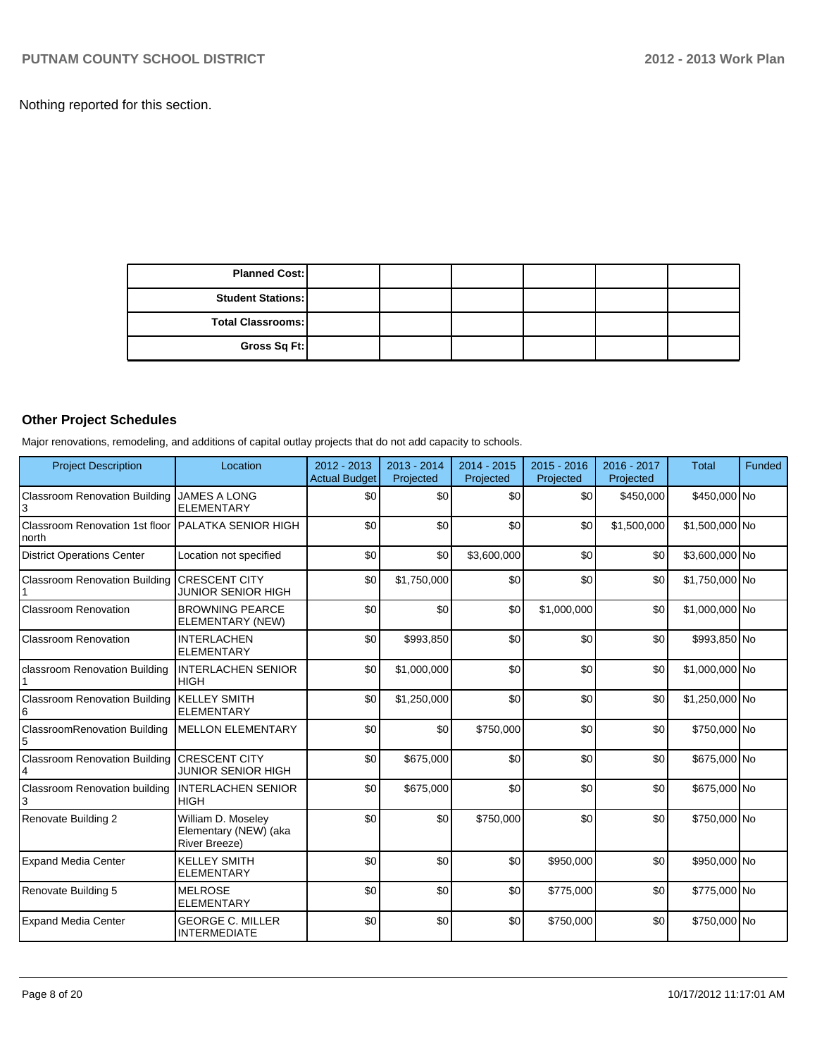Nothing reported for this section.

| <b>Planned Cost:</b>     |  |  |  |
|--------------------------|--|--|--|
| <b>Student Stations:</b> |  |  |  |
| <b>Total Classrooms:</b> |  |  |  |
| Gross Sq Ft:             |  |  |  |

## **Other Project Schedules**

Major renovations, remodeling, and additions of capital outlay projects that do not add capacity to schools.

| <b>Project Description</b>                                  | Location                                                     | $2012 - 2013$<br>Actual Budget | $2013 - 2014$<br>Projected | 2014 - 2015<br>Projected | $2015 - 2016$<br>Projected | 2016 - 2017<br>Projected | <b>Total</b>   | <b>Funded</b> |
|-------------------------------------------------------------|--------------------------------------------------------------|--------------------------------|----------------------------|--------------------------|----------------------------|--------------------------|----------------|---------------|
| Classroom Renovation Building<br>3                          | <b>JAMES A LONG</b><br><b>ELEMENTARY</b>                     | \$0                            | \$0                        | \$0                      | \$0                        | \$450,000                | \$450,000 No   |               |
| Classroom Renovation 1st floor PALATKA SENIOR HIGH<br>north |                                                              | \$0                            | \$0                        | \$0                      | \$0                        | \$1,500,000              | \$1,500,000 No |               |
| <b>District Operations Center</b>                           | Location not specified                                       | \$0                            | \$0                        | \$3,600,000              | \$0                        | \$0                      | \$3,600,000 No |               |
| Classroom Renovation Building                               | <b>CRESCENT CITY</b><br><b>JUNIOR SENIOR HIGH</b>            | \$0                            | \$1,750,000                | \$0                      | \$0                        | \$0                      | \$1,750,000 No |               |
| Classroom Renovation                                        | <b>BROWNING PEARCE</b><br>ELEMENTARY (NEW)                   | \$0                            | \$0                        | \$0                      | \$1,000,000                | \$0                      | \$1,000,000 No |               |
| Classroom Renovation                                        | <b>INTERLACHEN</b><br><b>ELEMENTARY</b>                      | \$0                            | \$993,850                  | \$0                      | \$0                        | \$0                      | \$993,850 No   |               |
| classroom Renovation Building                               | <b>INTERLACHEN SENIOR</b><br><b>HIGH</b>                     | \$0                            | \$1,000,000                | \$0                      | \$0                        | \$0                      | \$1,000,000 No |               |
| <b>Classroom Renovation Building</b><br>6                   | <b>KELLEY SMITH</b><br><b>ELEMENTARY</b>                     | \$0                            | \$1,250,000                | \$0                      | \$0                        | \$0                      | \$1,250,000 No |               |
| <b>ClassroomRenovation Building</b><br>$\sqrt{5}$           | <b>MELLON ELEMENTARY</b>                                     | \$0                            | \$0                        | \$750,000                | \$0                        | \$0                      | \$750,000 No   |               |
| <b>Classroom Renovation Building</b><br>4                   | <b>CRESCENT CITY</b><br><b>JUNIOR SENIOR HIGH</b>            | \$0                            | \$675,000                  | \$0                      | \$0                        | \$0                      | \$675,000 No   |               |
| <b>Classroom Renovation building</b>                        | <b>INTERLACHEN SENIOR</b><br><b>HIGH</b>                     | \$0                            | \$675,000                  | \$0                      | \$0                        | \$0                      | \$675,000 No   |               |
| Renovate Building 2                                         | William D. Moseley<br>Elementary (NEW) (aka<br>River Breeze) | \$0                            | \$0                        | \$750,000                | \$0                        | \$0                      | \$750,000 No   |               |
| <b>Expand Media Center</b>                                  | <b>KELLEY SMITH</b><br><b>ELEMENTARY</b>                     | \$0                            | \$0                        | \$0                      | \$950,000                  | \$0                      | \$950,000 No   |               |
| Renovate Building 5                                         | <b>MELROSE</b><br><b>ELEMENTARY</b>                          | \$0                            | \$0                        | \$0                      | \$775,000                  | \$0                      | \$775,000 No   |               |
| <b>Expand Media Center</b>                                  | <b>GEORGE C. MILLER</b><br><b>INTERMEDIATE</b>               | \$0                            | \$0                        | \$0                      | \$750,000                  | \$0                      | \$750,000 No   |               |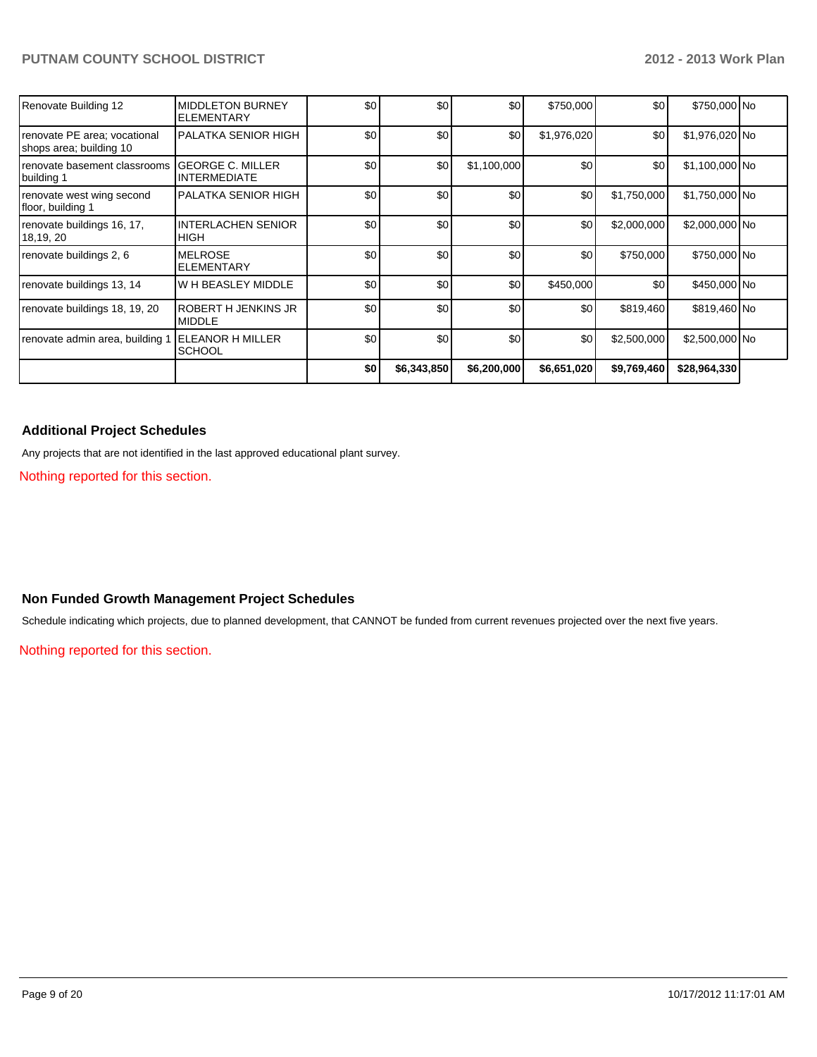| Renovate Building 12                                    | <b>MIDDLETON BURNEY</b><br><b>ELEMENTARY</b>   | \$0 | \$0         | \$0         | \$750,000   | \$0         | \$750,000 No   |  |
|---------------------------------------------------------|------------------------------------------------|-----|-------------|-------------|-------------|-------------|----------------|--|
| renovate PE area; vocational<br>shops area; building 10 | <b>PALATKA SENIOR HIGH</b>                     | \$0 | \$0         | \$0         | \$1,976,020 | \$0         | \$1,976,020 No |  |
| renovate basement classrooms<br>building 1              | <b>GEORGE C. MILLER</b><br><b>INTERMEDIATE</b> | \$0 | \$0         | \$1,100,000 | \$0         | \$0         | \$1,100,000 No |  |
| renovate west wing second<br>floor, building 1          | PALATKA SENIOR HIGH                            | \$0 | \$0         | \$0         | \$0         | \$1,750,000 | \$1,750,000 No |  |
| renovate buildings 16, 17,<br>18,19, 20                 | <b>INTERLACHEN SENIOR</b><br><b>HIGH</b>       | \$0 | \$0         | \$0         | \$0         | \$2,000,000 | \$2,000,000 No |  |
| renovate buildings 2, 6                                 | <b>MELROSE</b><br><b>ELEMENTARY</b>            | \$0 | \$0         | \$0         | \$0         | \$750,000   | \$750,000 No   |  |
| renovate buildings 13, 14                               | <b>W H BEASLEY MIDDLE</b>                      | \$0 | \$0         | \$0         | \$450,000   | \$0         | \$450,000 No   |  |
| renovate buildings 18, 19, 20                           | <b>ROBERT H JENKINS JR</b><br><b>MIDDLE</b>    | \$0 | \$0         | \$0         | \$0         | \$819,460   | \$819,460 No   |  |
| renovate admin area, building                           | <b>ELEANOR H MILLER</b><br><b>SCHOOL</b>       | \$0 | \$0         | \$0         | \$0         | \$2,500,000 | \$2,500,000 No |  |
|                                                         |                                                | \$0 | \$6,343,850 | \$6,200,000 | \$6,651,020 | \$9,769,460 | \$28,964,330   |  |

#### **Additional Project Schedules**

Any projects that are not identified in the last approved educational plant survey.

Nothing reported for this section.

#### **Non Funded Growth Management Project Schedules**

Schedule indicating which projects, due to planned development, that CANNOT be funded from current revenues projected over the next five years.

Nothing reported for this section.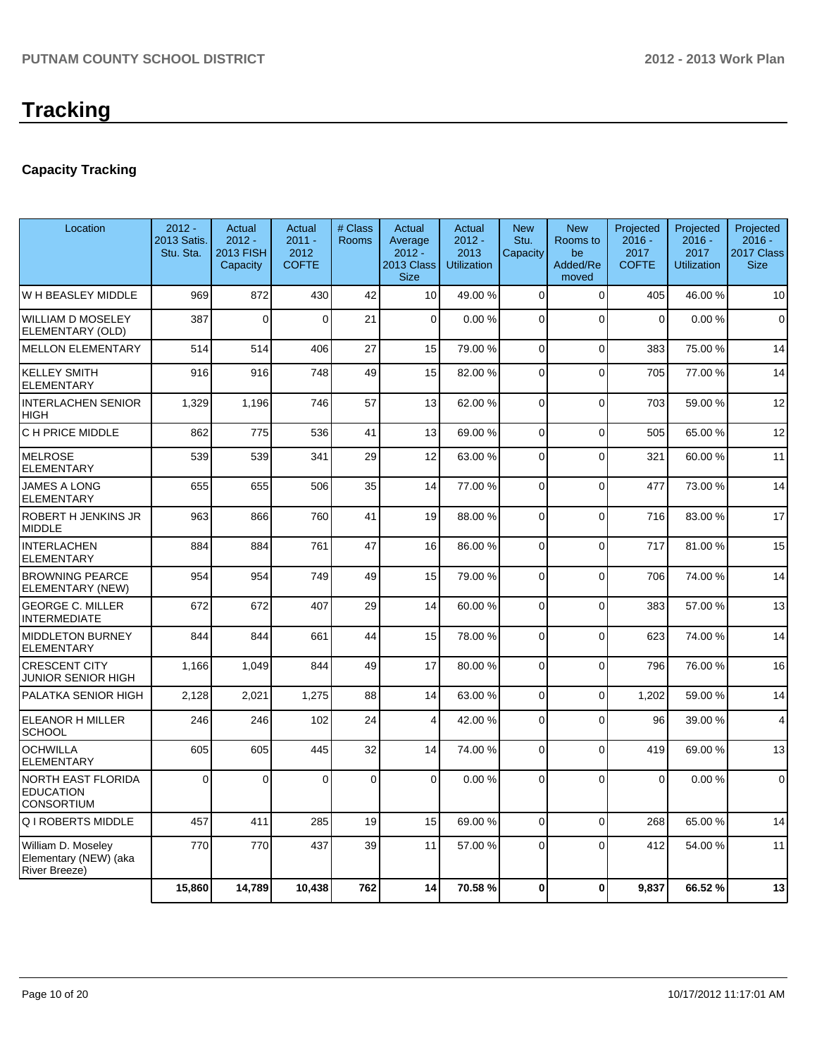## **Capacity Tracking**

| Location                                                            | $2012 -$<br>2013 Satis.<br>Stu. Sta. | Actual<br>$2012 -$<br><b>2013 FISH</b><br>Capacity | Actual<br>$2011 -$<br>2012<br><b>COFTE</b> | # Class<br><b>Rooms</b> | <b>Actual</b><br>Average<br>$2012 -$<br><b>2013 Class</b><br><b>Size</b> | Actual<br>$2012 -$<br>2013<br><b>Utilization</b> | <b>New</b><br>Stu.<br>Capacity | <b>New</b><br>Rooms to<br>be<br>Added/Re<br>moved | Projected<br>$2016 -$<br>2017<br><b>COFTE</b> | Projected<br>$2016 -$<br>2017<br><b>Utilization</b> | Projected<br>$2016 -$<br>2017 Class<br><b>Size</b> |
|---------------------------------------------------------------------|--------------------------------------|----------------------------------------------------|--------------------------------------------|-------------------------|--------------------------------------------------------------------------|--------------------------------------------------|--------------------------------|---------------------------------------------------|-----------------------------------------------|-----------------------------------------------------|----------------------------------------------------|
| W H BEASLEY MIDDLE                                                  | 969                                  | 872                                                | 430                                        | 42                      | 10 <sup>1</sup>                                                          | 49.00 %                                          | $\Omega$                       | $\Omega$                                          | 405                                           | 46.00 %                                             | 10                                                 |
| <b>WILLIAM D MOSELEY</b><br>ELEMENTARY (OLD)                        | 387                                  | $\Omega$                                           | $\Omega$                                   | 21                      | $\Omega$                                                                 | 0.00%                                            | $\Omega$                       | $\Omega$                                          | $\overline{0}$                                | 0.00%                                               | $\Omega$                                           |
| <b>MELLON ELEMENTARY</b>                                            | 514                                  | 514                                                | 406                                        | 27                      | 15                                                                       | 79.00 %                                          | 0                              | $\Omega$                                          | 383                                           | 75.00 %                                             | 14                                                 |
| <b>KELLEY SMITH</b><br><b>ELEMENTARY</b>                            | 916                                  | 916                                                | 748                                        | 49                      | 15                                                                       | 82.00 %                                          | $\overline{0}$                 | $\Omega$                                          | 705                                           | 77.00 %                                             | 14                                                 |
| <b>INTERLACHEN SENIOR</b><br><b>HIGH</b>                            | 1,329                                | 1,196                                              | 746                                        | 57                      | 13                                                                       | 62.00 %                                          | $\Omega$                       | $\Omega$                                          | 703                                           | 59.00 %                                             | 12                                                 |
| C H PRICE MIDDLE                                                    | 862                                  | 775                                                | 536                                        | 41                      | 13                                                                       | 69.00 %                                          | 0                              | $\Omega$                                          | 505                                           | 65.00 %                                             | 12                                                 |
| <b>MELROSE</b><br><b>ELEMENTARY</b>                                 | 539                                  | 539                                                | 341                                        | 29                      | 12                                                                       | 63.00 %                                          | $\overline{0}$                 | $\Omega$                                          | 321                                           | 60.00%                                              | 11                                                 |
| <b>JAMES A LONG</b><br><b>ELEMENTARY</b>                            | 655                                  | 655                                                | 506                                        | 35                      | 14                                                                       | 77.00 %                                          | $\Omega$                       | $\Omega$                                          | 477                                           | 73.00 %                                             | 14                                                 |
| ROBERT H JENKINS JR<br><b>MIDDLE</b>                                | 963                                  | 866                                                | 760                                        | 41                      | 19                                                                       | 88.00 %                                          | $\overline{0}$                 | $\Omega$                                          | 716                                           | 83.00 %                                             | 17                                                 |
| <b>INTERLACHEN</b><br><b>ELEMENTARY</b>                             | 884                                  | 884                                                | 761                                        | 47                      | 16                                                                       | 86.00 %                                          | $\Omega$                       | $\Omega$                                          | 717                                           | 81.00%                                              | 15                                                 |
| <b>BROWNING PEARCE</b><br>ELEMENTARY (NEW)                          | 954                                  | 954                                                | 749                                        | 49                      | 15                                                                       | 79.00 %                                          | $\Omega$                       | $\Omega$                                          | 706                                           | 74.00 %                                             | 14                                                 |
| <b>GEORGE C. MILLER</b><br><b>INTERMEDIATE</b>                      | 672                                  | 672                                                | 407                                        | 29                      | 14                                                                       | 60.00 %                                          | $\Omega$                       | $\Omega$                                          | 383                                           | 57.00 %                                             | 13                                                 |
| <b>MIDDLETON BURNEY</b><br><b>ELEMENTARY</b>                        | 844                                  | 844                                                | 661                                        | 44                      | 15                                                                       | 78.00 %                                          | $\Omega$                       | $\Omega$                                          | 623                                           | 74.00 %                                             | 14                                                 |
| <b>CRESCENT CITY</b><br><b>JUNIOR SENIOR HIGH</b>                   | 1,166                                | 1,049                                              | 844                                        | 49                      | 17                                                                       | 80.00%                                           | $\Omega$                       | $\Omega$                                          | 796                                           | 76.00 %                                             | 16                                                 |
| PALATKA SENIOR HIGH                                                 | 2,128                                | 2,021                                              | 1,275                                      | 88                      | 14                                                                       | 63.00 %                                          | $\overline{0}$                 | $\Omega$                                          | 1,202                                         | 59.00 %                                             | 14                                                 |
| <b>ELEANOR H MILLER</b><br><b>SCHOOL</b>                            | 246                                  | 246                                                | 102                                        | 24                      | $\vert$                                                                  | 42.00 %                                          | 0                              | $\Omega$                                          | 96                                            | 39.00 %                                             | 4                                                  |
| <b>OCHWILLA</b><br><b>ELEMENTARY</b>                                | 605                                  | 605                                                | 445                                        | 32                      | 14                                                                       | 74.00 %                                          | 0                              | $\Omega$                                          | 419                                           | 69.00%                                              | 13                                                 |
| <b>NORTH EAST FLORIDA</b><br><b>EDUCATION</b><br><b>CONSORTIUM</b>  | $\Omega$                             | $\mathbf 0$                                        | $\Omega$                                   | $\mathbf 0$             | $\Omega$                                                                 | 0.00%                                            | $\Omega$                       | $\Omega$                                          | $\Omega$                                      | 0.00%                                               | $\Omega$                                           |
| <b>Q I ROBERTS MIDDLE</b>                                           | 457                                  | 411                                                | 285                                        | 19                      | 15                                                                       | 69.00 %                                          | 0                              | $\Omega$                                          | 268                                           | 65.00 %                                             | 14                                                 |
| William D. Moseley<br>Elementary (NEW) (aka<br><b>River Breeze)</b> | 770                                  | 770                                                | 437                                        | 39                      | 11                                                                       | 57.00 %                                          | $\Omega$                       | $\Omega$                                          | 412                                           | 54.00%                                              | 11                                                 |
|                                                                     | 15,860                               | 14,789                                             | 10,438                                     | 762                     | 14                                                                       | 70.58 %                                          | $\bf{0}$                       | $\Omega$                                          | 9,837                                         | 66.52%                                              | 13                                                 |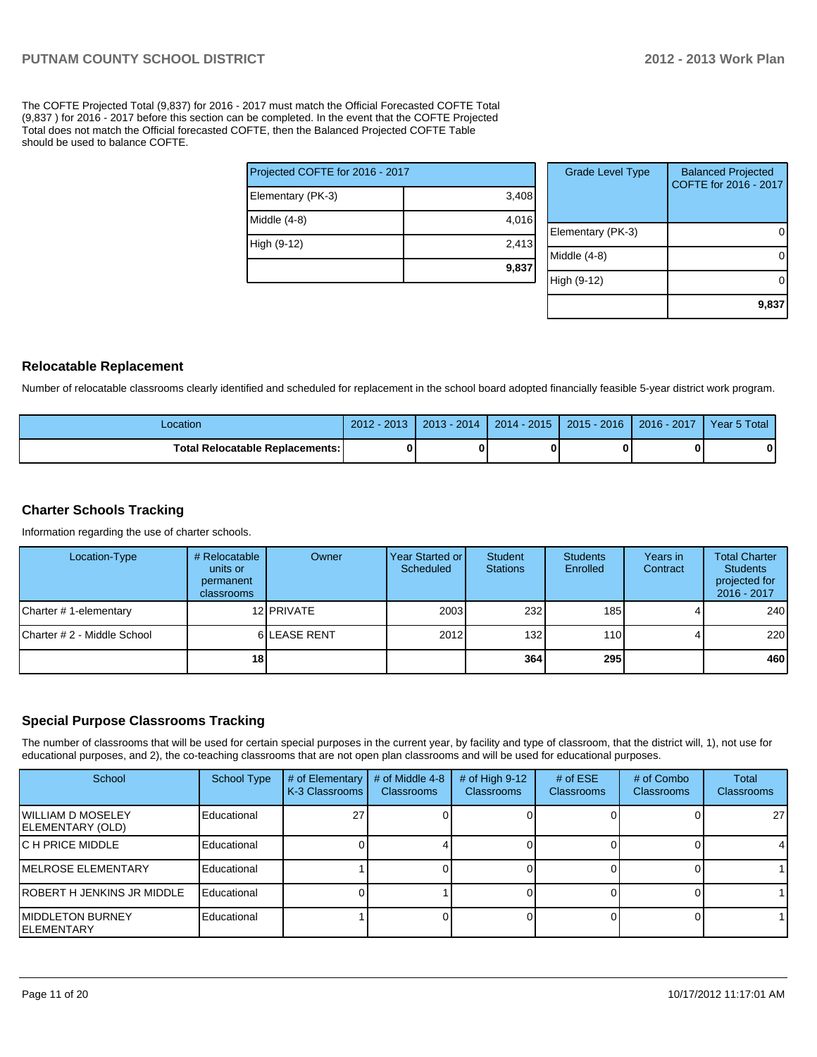The COFTE Projected Total (9,837) for 2016 - 2017 must match the Official Forecasted COFTE Total (9,837 ) for 2016 - 2017 before this section can be completed. In the event that the COFTE Projected Total does not match the Official forecasted COFTE, then the Balanced Projected COFTE Table should be used to balance COFTE.

|                                 | 9,837 |  |  |  |  |
|---------------------------------|-------|--|--|--|--|
| High (9-12)                     | 2,413 |  |  |  |  |
| Middle (4-8)                    | 4,016 |  |  |  |  |
| Elementary (PK-3)               | 3,408 |  |  |  |  |
| Projected COFTE for 2016 - 2017 |       |  |  |  |  |

| <b>Grade Level Type</b> | <b>Balanced Projected</b><br>COFTE for 2016 - 2017 |
|-------------------------|----------------------------------------------------|
| Elementary (PK-3)       |                                                    |
| Middle (4-8)            |                                                    |
| High (9-12)             |                                                    |
|                         | 9,83                                               |

#### **Relocatable Replacement**

Number of relocatable classrooms clearly identified and scheduled for replacement in the school board adopted financially feasible 5-year district work program.

| Location                               | $2012 - 2013$ | 2013 - 2014 | $2014 - 2015$ | $2015 - 2016$ | $2016 - 2017$ | Year 5 Total |
|----------------------------------------|---------------|-------------|---------------|---------------|---------------|--------------|
| <b>Total Relocatable Replacements:</b> |               |             |               |               |               |              |

#### **Charter Schools Tracking**

Information regarding the use of charter schools.

| Location-Type               | # Relocatable<br>units or<br>permanent<br><b>classrooms</b> | Owner              | Year Started or<br>Scheduled | Student<br><b>Stations</b> | <b>Students</b><br>Enrolled | Years in<br>Contract | <b>Total Charter</b><br><b>Students</b><br>projected for<br>2016 - 2017 |
|-----------------------------|-------------------------------------------------------------|--------------------|------------------------------|----------------------------|-----------------------------|----------------------|-------------------------------------------------------------------------|
| Charter # 1-elementary      |                                                             | 12 <b>IPRIVATE</b> | 2003                         | 232                        | 185                         |                      | 240                                                                     |
| Charter # 2 - Middle School |                                                             | 6 LEASE RENT       | 2012                         | 132                        | $1101$                      |                      | 220                                                                     |
|                             | 18                                                          |                    |                              | 364                        | 295                         |                      | 460                                                                     |

### **Special Purpose Classrooms Tracking**

The number of classrooms that will be used for certain special purposes in the current year, by facility and type of classroom, that the district will, 1), not use for educational purposes, and 2), the co-teaching classrooms that are not open plan classrooms and will be used for educational purposes.

| School                                        | <b>School Type</b> | # of Elementary<br>K-3 Classrooms | # of Middle 4-8<br><b>Classrooms</b> | # of High $9-12$<br>Classrooms | # of $ESE$<br>Classrooms | # of Combo<br>Classrooms | <b>Total</b><br>Classrooms |
|-----------------------------------------------|--------------------|-----------------------------------|--------------------------------------|--------------------------------|--------------------------|--------------------------|----------------------------|
| <b>IWILLIAM D MOSELEY</b><br>ELEMENTARY (OLD) | Educational        |                                   |                                      |                                |                          |                          | 27 <sup>1</sup>            |
| <b>IC H PRICE MIDDLE</b>                      | Educational        |                                   |                                      |                                |                          |                          | 41                         |
| <b>IMELROSE ELEMENTARY</b>                    | Educational        |                                   |                                      |                                |                          |                          |                            |
| <b>IROBERT H JENKINS JR MIDDLE</b>            | Educational        |                                   |                                      |                                |                          |                          |                            |
| <b>IMIDDLETON BURNEY</b><br>IELEMENTARY       | Educational        |                                   |                                      |                                |                          |                          |                            |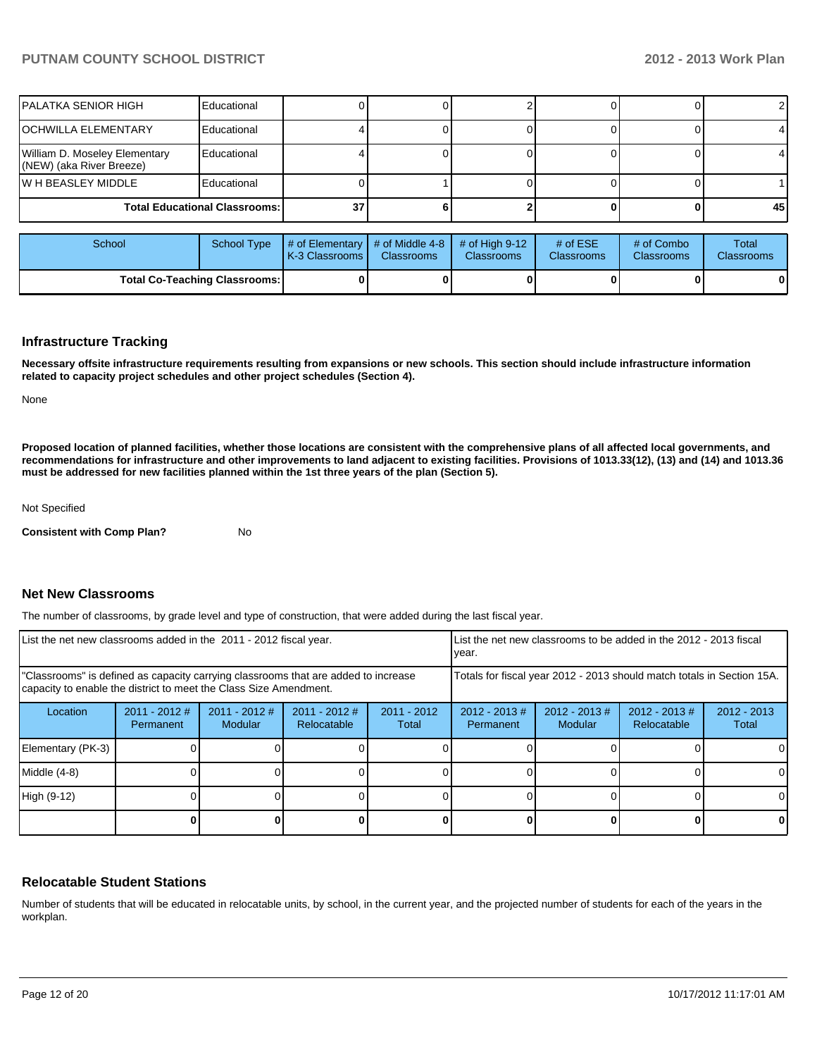| IPALATKA SENIOR HIGH                                      | Educational                          |    |  |  |    |
|-----------------------------------------------------------|--------------------------------------|----|--|--|----|
| IOCHWILLA ELEMENTARY                                      | Educational                          |    |  |  |    |
| William D. Moseley Elementary<br>(NEW) (aka River Breeze) | Educational                          |    |  |  |    |
| IW H BEASLEY MIDDLE                                       | Educational                          |    |  |  |    |
|                                                           | <b>Total Educational Classrooms:</b> | 37 |  |  | 45 |

| School                               |  | School Type $\left  \frac{1}{2}$ # of Elementary $\left  \frac{1}{2}$ of Middle 4-8 $\left  \frac{1}{2}$ # of High 9-12<br><b>IK-3 Classrooms I</b> | <b>Classrooms</b> | <b>Classrooms</b> | # of $ESE$<br><b>Classrooms</b> | # of Combo<br><b>Classrooms</b> | Total<br><b>Classrooms</b> |
|--------------------------------------|--|-----------------------------------------------------------------------------------------------------------------------------------------------------|-------------------|-------------------|---------------------------------|---------------------------------|----------------------------|
| <b>Total Co-Teaching Classrooms:</b> |  |                                                                                                                                                     |                   |                   |                                 | 0                               | 0                          |

#### **Infrastructure Tracking**

**Necessary offsite infrastructure requirements resulting from expansions or new schools. This section should include infrastructure information related to capacity project schedules and other project schedules (Section 4).**

None

**Proposed location of planned facilities, whether those locations are consistent with the comprehensive plans of all affected local governments, and recommendations for infrastructure and other improvements to land adjacent to existing facilities. Provisions of 1013.33(12), (13) and (14) and 1013.36 must be addressed for new facilities planned within the 1st three years of the plan (Section 5).**

Not Specified

**Consistent with Comp Plan?** No

#### **Net New Classrooms**

The number of classrooms, by grade level and type of construction, that were added during the last fiscal year.

| List the net new classrooms added in the 2011 - 2012 fiscal year.                                                                                       |                              |                                   |                                | List the net new classrooms to be added in the 2012 - 2013 fiscal<br>Ivear. |                               |                             |                                 |                        |
|---------------------------------------------------------------------------------------------------------------------------------------------------------|------------------------------|-----------------------------------|--------------------------------|-----------------------------------------------------------------------------|-------------------------------|-----------------------------|---------------------------------|------------------------|
| "Classrooms" is defined as capacity carrying classrooms that are added to increase<br>capacity to enable the district to meet the Class Size Amendment. |                              |                                   |                                | Totals for fiscal year 2012 - 2013 should match totals in Section 15A.      |                               |                             |                                 |                        |
| Location                                                                                                                                                | $2011 - 2012$ #<br>Permanent | $2011 - 2012$ #<br><b>Modular</b> | $2011 - 2012$ #<br>Relocatable | $2011 - 2012$<br>Total                                                      | $2012 - 2013 \#$<br>Permanent | $2012 - 2013 \#$<br>Modular | $2012 - 2013 \#$<br>Relocatable | $2012 - 2013$<br>Total |
| Elementary (PK-3)                                                                                                                                       |                              |                                   |                                |                                                                             |                               |                             |                                 | ΟI                     |
| Middle (4-8)                                                                                                                                            |                              |                                   |                                |                                                                             |                               |                             |                                 |                        |
| High (9-12)                                                                                                                                             |                              |                                   |                                |                                                                             |                               |                             |                                 | $\Omega$               |
|                                                                                                                                                         |                              |                                   |                                |                                                                             |                               |                             |                                 | 0                      |

#### **Relocatable Student Stations**

Number of students that will be educated in relocatable units, by school, in the current year, and the projected number of students for each of the years in the workplan.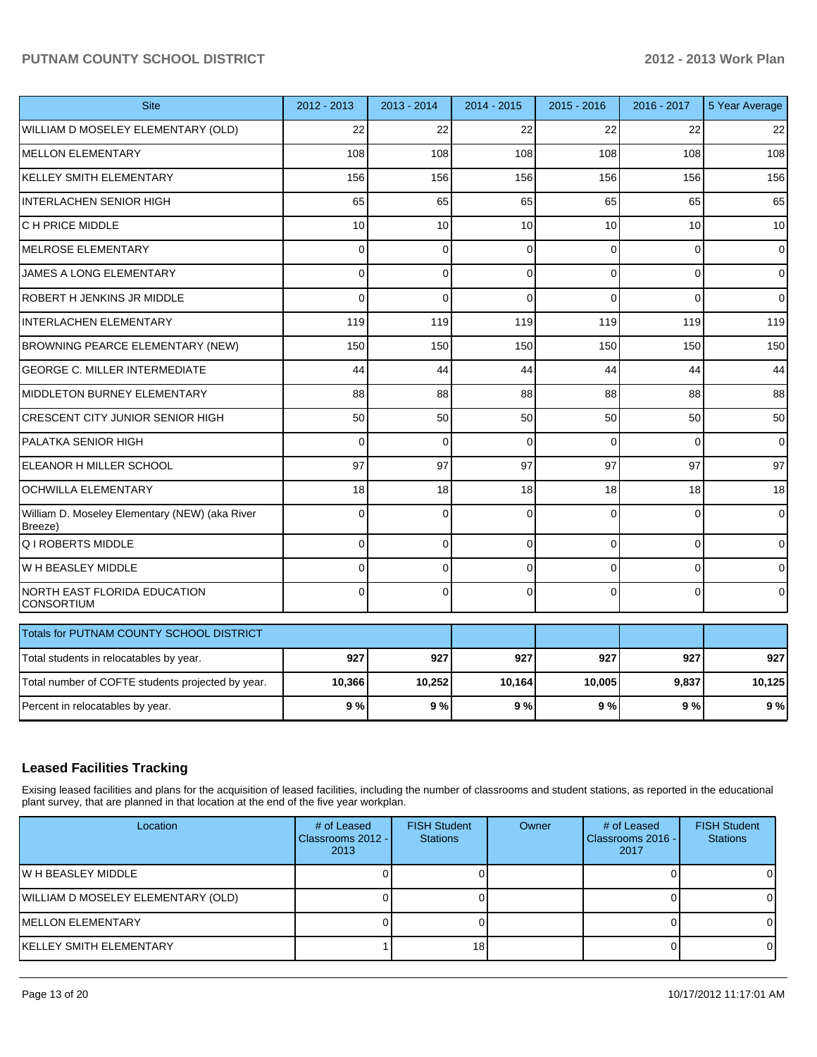| <b>Site</b>                                               | 2012 - 2013 | 2013 - 2014 | $2014 - 2015$  | $2015 - 2016$ | 2016 - 2017 | 5 Year Average  |
|-----------------------------------------------------------|-------------|-------------|----------------|---------------|-------------|-----------------|
| WILLIAM D MOSELEY ELEMENTARY (OLD)                        | 22          | 22          | 22             | 22            | 22          | 22              |
| <b>MELLON ELEMENTARY</b>                                  | 108         | 108         | 108            | 108           | 108         | 108             |
| <b>KELLEY SMITH ELEMENTARY</b>                            | 156         | 156         | 156            | 156           | 156         | 156             |
| <b>INTERLACHEN SENIOR HIGH</b>                            | 65          | 65          | 65             | 65            | 65          | 65              |
| C H PRICE MIDDLE                                          | 10          | 10          | 10             | 10            | 10          | 10 <sup>1</sup> |
| <b>MELROSE ELEMENTARY</b>                                 | 0           | $\mathbf 0$ | $\Omega$       | $\Omega$      | $\Omega$    | $\mathbf 0$     |
| JAMES A LONG ELEMENTARY                                   | 0           | $\mathbf 0$ | 0              | $\Omega$      | 0           | 0               |
| ROBERT H JENKINS JR MIDDLE                                | $\Omega$    | $\Omega$    | $\Omega$       | $\Omega$      | $\Omega$    | $\Omega$        |
| <b>INTERLACHEN ELEMENTARY</b>                             | 119         | 119         | 119            | 119           | 119         | 119             |
| BROWNING PEARCE ELEMENTARY (NEW)                          | 150         | 150         | 150            | 150           | 150         | 150             |
| <b>GEORGE C. MILLER INTERMEDIATE</b>                      | 44          | 44          | 44             | 44            | 44          | 44              |
| MIDDLETON BURNEY ELEMENTARY                               | 88          | 88          | 88             | 88            | 88          | 88              |
| <b>CRESCENT CITY JUNIOR SENIOR HIGH</b>                   | 50          | 50          | 50             | 50            | 50          | 50              |
| PALATKA SENIOR HIGH                                       | 0           | $\mathbf 0$ | $\mathbf 0$    | $\Omega$      | $\Omega$    | $\overline{0}$  |
| ELEANOR H MILLER SCHOOL                                   | 97          | 97          | 97             | 97            | 97          | 97              |
| <b>OCHWILLA ELEMENTARY</b>                                | 18          | 18          | 18             | 18            | 18          | 18              |
| William D. Moseley Elementary (NEW) (aka River<br>Breeze) | $\Omega$    | $\Omega$    | $\Omega$       | $\Omega$      | $\Omega$    | $\overline{0}$  |
| Q I ROBERTS MIDDLE                                        | $\Omega$    | $\mathbf 0$ | $\overline{0}$ | $\Omega$      | 0           | $\overline{0}$  |
| W H BEASLEY MIDDLE                                        | $\Omega$    | $\Omega$    | $\Omega$       | $\Omega$      | $\Omega$    | $\overline{0}$  |
| NORTH EAST FLORIDA EDUCATION<br><b>CONSORTIUM</b>         | $\Omega$    | $\Omega$    | $\Omega$       | $\Omega$      | $\Omega$    | $\overline{0}$  |
| Totals for PUTNAM COUNTY SCHOOL DISTRICT                  |             |             |                |               |             |                 |
| Total students in relocatables by year.                   | 927         | 927         | 927            | 927           | 927         | 927             |
| Total number of COFTE students projected by year.         | 10,366      | 10,252      | 10,164         | 10,005        | 9,837       | 10,125          |
| Percent in relocatables by year.                          | 9%          | 9%          | 9%             | 9%            | 9%          | 9%              |

### **Leased Facilities Tracking**

Exising leased facilities and plans for the acquisition of leased facilities, including the number of classrooms and student stations, as reported in the educational plant survey, that are planned in that location at the end of the five year workplan.

| Location                           | # of Leased<br>Classrooms 2012 - I<br>2013 | <b>FISH Student</b><br><b>Stations</b> | Owner | # of Leased<br>l Classrooms 2016 - I<br>2017 | <b>FISH Student</b><br><b>Stations</b> |
|------------------------------------|--------------------------------------------|----------------------------------------|-------|----------------------------------------------|----------------------------------------|
| IW H BEASLEY MIDDLE                |                                            |                                        |       |                                              |                                        |
| WILLIAM D MOSELEY ELEMENTARY (OLD) |                                            |                                        |       |                                              |                                        |
| IMELLON ELEMENTARY                 |                                            |                                        |       |                                              |                                        |
| İKELLEY SMITH ELEMENTARY           |                                            | 18 <sup>1</sup>                        |       |                                              |                                        |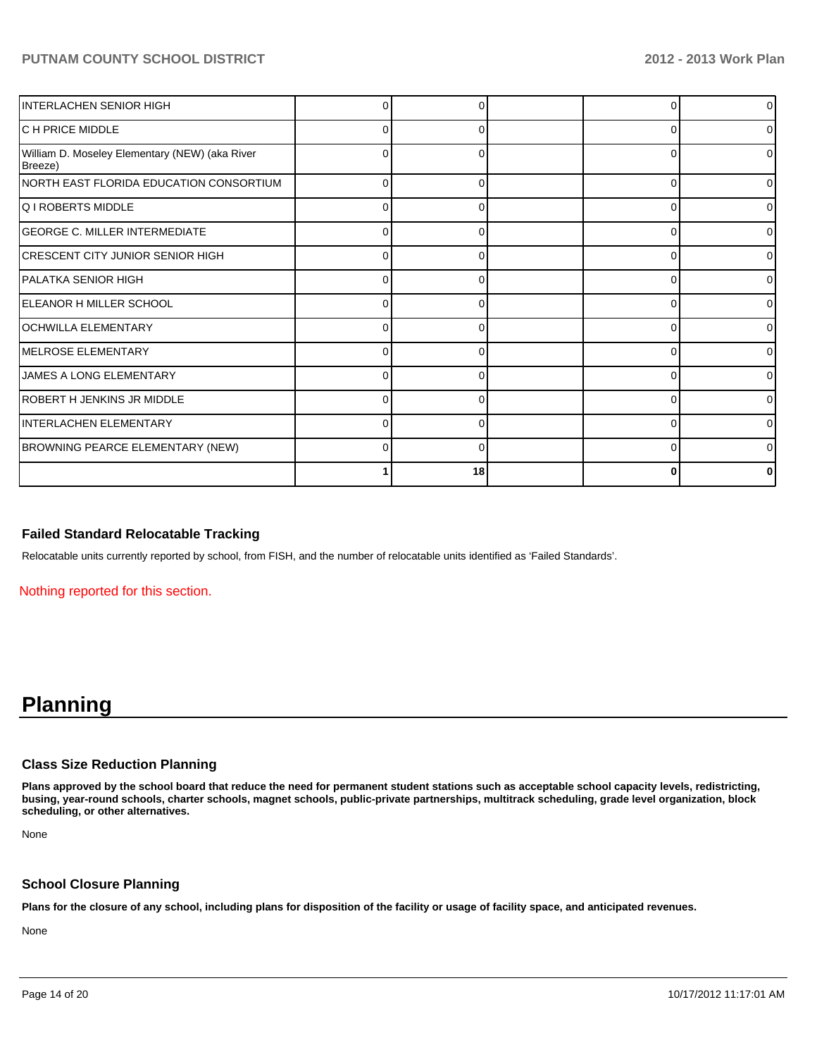| INTERLACHEN SENIOR HIGH                                   |          |    |          | 01             |
|-----------------------------------------------------------|----------|----|----------|----------------|
| <b>C H PRICE MIDDLE</b>                                   | 0        |    | n        | 01             |
| William D. Moseley Elementary (NEW) (aka River<br>Breeze) | 0        |    | C        | o١             |
| NORTH EAST FLORIDA EDUCATION CONSORTIUM                   | $\Omega$ | ŋ  | $\Omega$ | $\overline{0}$ |
| <b>Q I ROBERTS MIDDLE</b>                                 | ŋ        |    |          | 01             |
| <b>GEORGE C. MILLER INTERMEDIATE</b>                      | 0        |    | ŋ        | 0              |
| <b>CRESCENT CITY JUNIOR SENIOR HIGH</b>                   | $\Omega$ |    | ∩        | ΩI             |
| IPALATKA SENIOR HIGH                                      | ŋ        |    |          | ΩI             |
| ELEANOR H MILLER SCHOOL                                   | 0        |    |          | 01             |
| OCHWILLA ELEMENTARY                                       | 0        | O  | 0        | 01             |
| MELROSE ELEMENTARY                                        | C        |    | C        | 0              |
| <b>JAMES A LONG ELEMENTARY</b>                            | 0        |    |          | 01             |
| IROBERT H JENKINS JR MIDDLE                               | 0        | U  | 0        | οI             |
| INTERLACHEN ELEMENTARY                                    | $\Omega$ |    | ∩        | ΩI             |
| BROWNING PEARCE ELEMENTARY (NEW)                          | ŋ        |    |          | o١             |
|                                                           |          | 18 |          | 0              |

#### **Failed Standard Relocatable Tracking**

Relocatable units currently reported by school, from FISH, and the number of relocatable units identified as 'Failed Standards'.

Nothing reported for this section.

# **Planning**

#### **Class Size Reduction Planning**

**Plans approved by the school board that reduce the need for permanent student stations such as acceptable school capacity levels, redistricting, busing, year-round schools, charter schools, magnet schools, public-private partnerships, multitrack scheduling, grade level organization, block scheduling, or other alternatives.**

None

#### **School Closure Planning**

**Plans for the closure of any school, including plans for disposition of the facility or usage of facility space, and anticipated revenues.**

None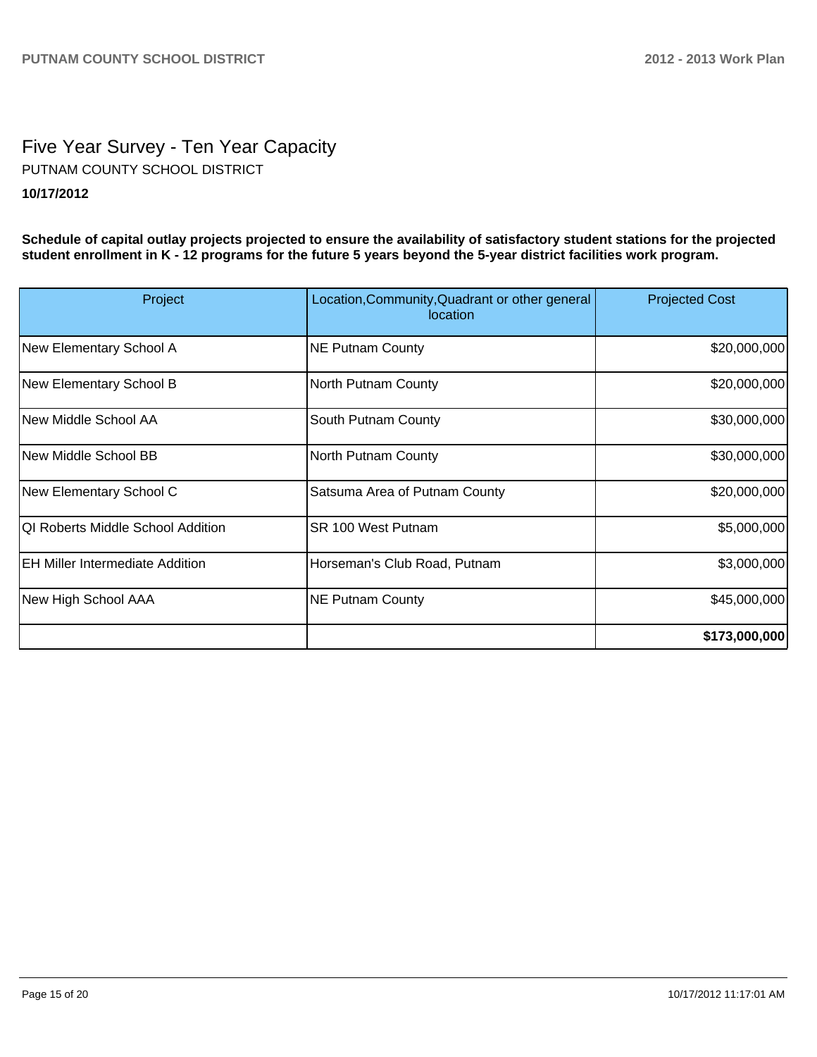# Five Year Survey - Ten Year Capacity **10/17/2012** PUTNAM COUNTY SCHOOL DISTRICT

**Schedule of capital outlay projects projected to ensure the availability of satisfactory student stations for the projected student enrollment in K - 12 programs for the future 5 years beyond the 5-year district facilities work program.**

| Project                                | Location, Community, Quadrant or other general<br>location | <b>Projected Cost</b> |
|----------------------------------------|------------------------------------------------------------|-----------------------|
| New Elementary School A                | <b>NE Putnam County</b>                                    | \$20,000,000          |
| New Elementary School B                | North Putnam County                                        | \$20,000,000          |
| New Middle School AA                   | South Putnam County                                        | \$30,000,000          |
| New Middle School BB                   | North Putnam County                                        | \$30,000,000          |
| New Elementary School C                | Satsuma Area of Putnam County                              | \$20,000,000          |
| QI Roberts Middle School Addition      | SR 100 West Putnam                                         | \$5,000,000           |
| <b>EH Miller Intermediate Addition</b> | Horseman's Club Road, Putnam                               | \$3,000,000           |
| New High School AAA                    | <b>NE Putnam County</b>                                    | \$45,000,000          |
|                                        |                                                            | \$173,000,000         |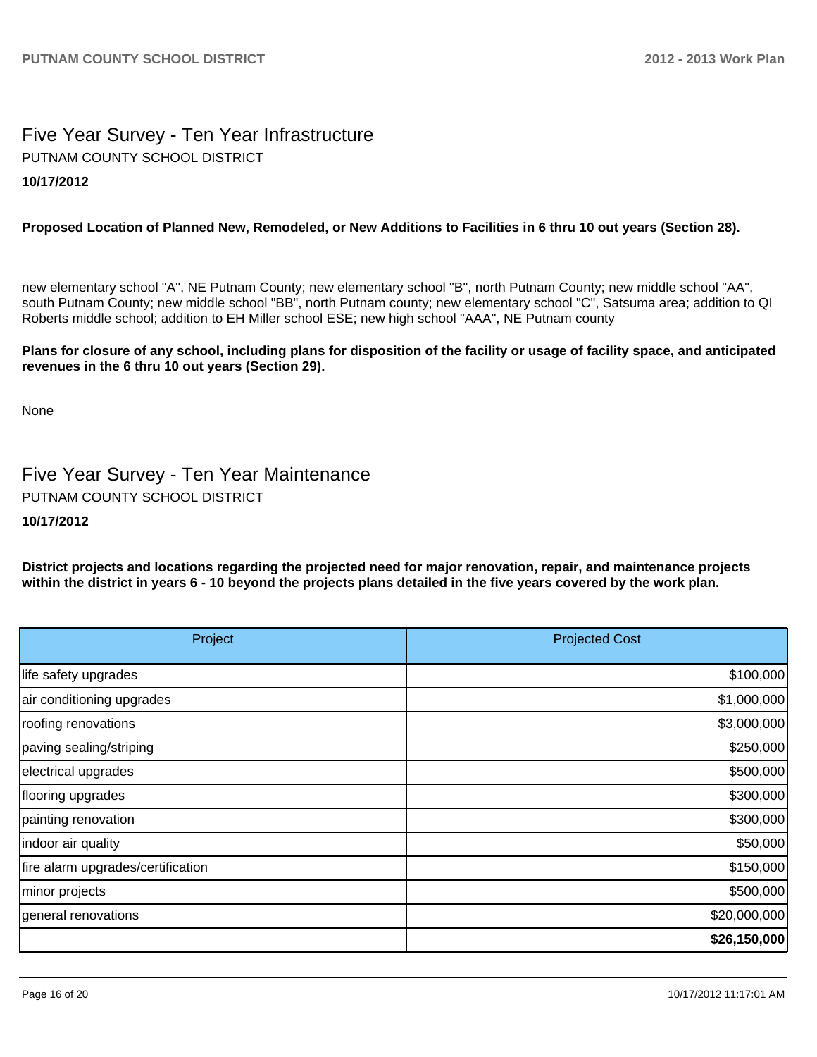## Five Year Survey - Ten Year Infrastructure **10/17/2012** PUTNAM COUNTY SCHOOL DISTRICT

### **Proposed Location of Planned New, Remodeled, or New Additions to Facilities in 6 thru 10 out years (Section 28).**

new elementary school "A", NE Putnam County; new elementary school "B", north Putnam County; new middle school "AA", south Putnam County; new middle school "BB", north Putnam county; new elementary school "C", Satsuma area; addition to QI Roberts middle school; addition to EH Miller school ESE; new high school "AAA", NE Putnam county

#### **Plans for closure of any school, including plans for disposition of the facility or usage of facility space, and anticipated revenues in the 6 thru 10 out years (Section 29).**

None

Five Year Survey - Ten Year Maintenance PUTNAM COUNTY SCHOOL DISTRICT

#### **10/17/2012**

**District projects and locations regarding the projected need for major renovation, repair, and maintenance projects within the district in years 6 - 10 beyond the projects plans detailed in the five years covered by the work plan.**

| Project                           | <b>Projected Cost</b> |
|-----------------------------------|-----------------------|
| life safety upgrades              | \$100,000             |
| air conditioning upgrades         | \$1,000,000           |
| roofing renovations               | \$3,000,000           |
| paving sealing/striping           | \$250,000             |
| electrical upgrades               | \$500,000             |
| flooring upgrades                 | \$300,000             |
| painting renovation               | \$300,000             |
| indoor air quality                | \$50,000              |
| fire alarm upgrades/certification | \$150,000             |
| minor projects                    | \$500,000             |
| general renovations               | \$20,000,000          |
|                                   | \$26,150,000          |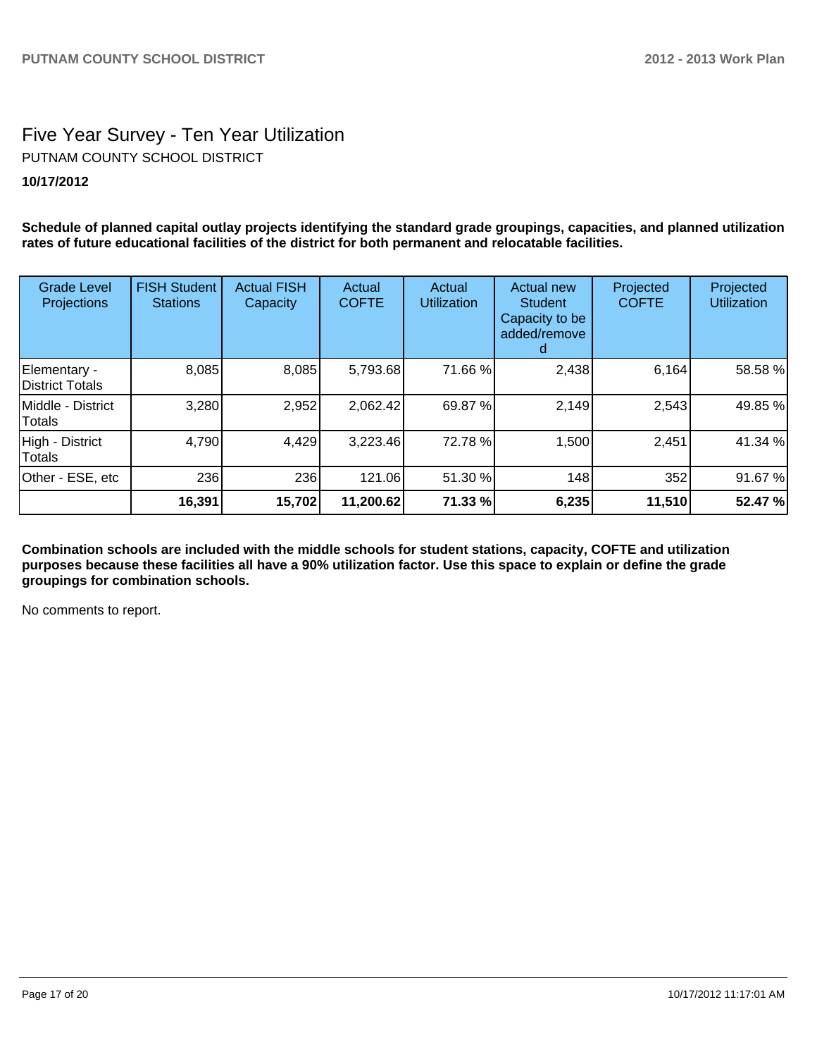# Five Year Survey - Ten Year Utilization **10/17/2012** PUTNAM COUNTY SCHOOL DISTRICT

**Schedule of planned capital outlay projects identifying the standard grade groupings, capacities, and planned utilization rates of future educational facilities of the district for both permanent and relocatable facilities.**

| <b>Grade Level</b><br>Projections | <b>FISH Student</b><br><b>Stations</b> | <b>Actual FISH</b><br>Capacity | Actual<br><b>COFTE</b> | Actual<br><b>Utilization</b> | Actual new<br><b>Student</b><br>Capacity to be<br>added/remove | Projected<br><b>COFTE</b> | Projected<br><b>Utilization</b> |
|-----------------------------------|----------------------------------------|--------------------------------|------------------------|------------------------------|----------------------------------------------------------------|---------------------------|---------------------------------|
| Elementary -<br>District Totals   | 8,085                                  | 8,085                          | 5,793.68               | 71.66 %                      | 2,438                                                          | 6,164                     | 58.58 %                         |
| Middle - District<br>Totals       | 3,280                                  | 2,952                          | 2,062.42               | 69.87 %                      | 2,149                                                          | 2,543                     | 49.85 %                         |
| High - District<br>Totals         | 4,790                                  | 4,429                          | 3,223.46               | 72.78 %                      | 1,500                                                          | 2,451                     | 41.34 %                         |
| Other - ESE, etc                  | <b>236</b>                             | 236                            | 121.06                 | 51.30 %                      | 148                                                            | 352                       | 91.67 %                         |
|                                   | 16,391                                 | 15,702                         | 11,200.62              | 71.33 %                      | 6,235                                                          | 11,510                    | 52.47 %                         |

**Combination schools are included with the middle schools for student stations, capacity, COFTE and utilization purposes because these facilities all have a 90% utilization factor. Use this space to explain or define the grade groupings for combination schools.**

No comments to report.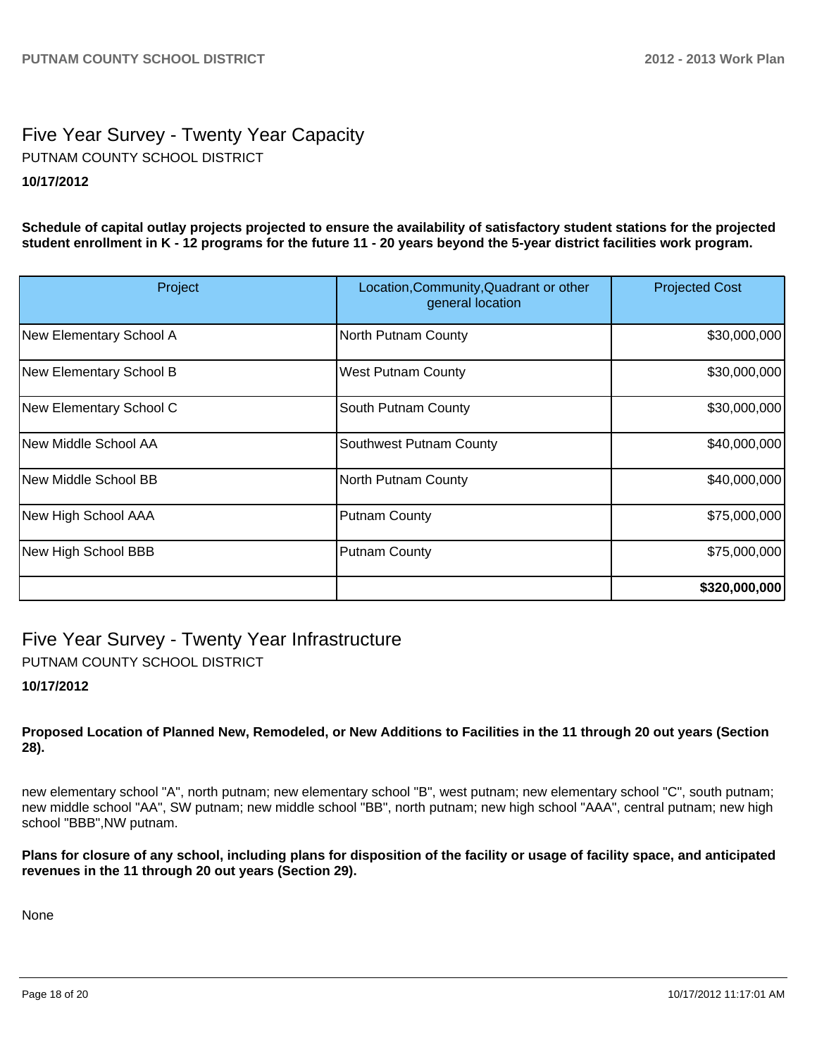# Five Year Survey - Twenty Year Capacity **10/17/2012** PUTNAM COUNTY SCHOOL DISTRICT

**Schedule of capital outlay projects projected to ensure the availability of satisfactory student stations for the projected student enrollment in K - 12 programs for the future 11 - 20 years beyond the 5-year district facilities work program.**

| Project                 | Location, Community, Quadrant or other<br>general location | <b>Projected Cost</b> |
|-------------------------|------------------------------------------------------------|-----------------------|
| New Elementary School A | North Putnam County                                        | \$30,000,000          |
| New Elementary School B | <b>West Putnam County</b>                                  | \$30,000,000          |
| New Elementary School C | South Putnam County                                        | \$30,000,000          |
| INew Middle School AA   | Southwest Putnam County                                    | \$40,000,000          |
| New Middle School BB    | North Putnam County                                        | \$40,000,000          |
| New High School AAA     | <b>Putnam County</b>                                       | \$75,000,000          |
| New High School BBB     | <b>Putnam County</b>                                       | \$75,000,000          |
|                         |                                                            | \$320,000,000         |

Five Year Survey - Twenty Year Infrastructure PUTNAM COUNTY SCHOOL DISTRICT

#### **10/17/2012**

**Proposed Location of Planned New, Remodeled, or New Additions to Facilities in the 11 through 20 out years (Section 28).**

new elementary school "A", north putnam; new elementary school "B", west putnam; new elementary school "C", south putnam; new middle school "AA", SW putnam; new middle school "BB", north putnam; new high school "AAA", central putnam; new high school "BBB",NW putnam.

**Plans for closure of any school, including plans for disposition of the facility or usage of facility space, and anticipated revenues in the 11 through 20 out years (Section 29).**

None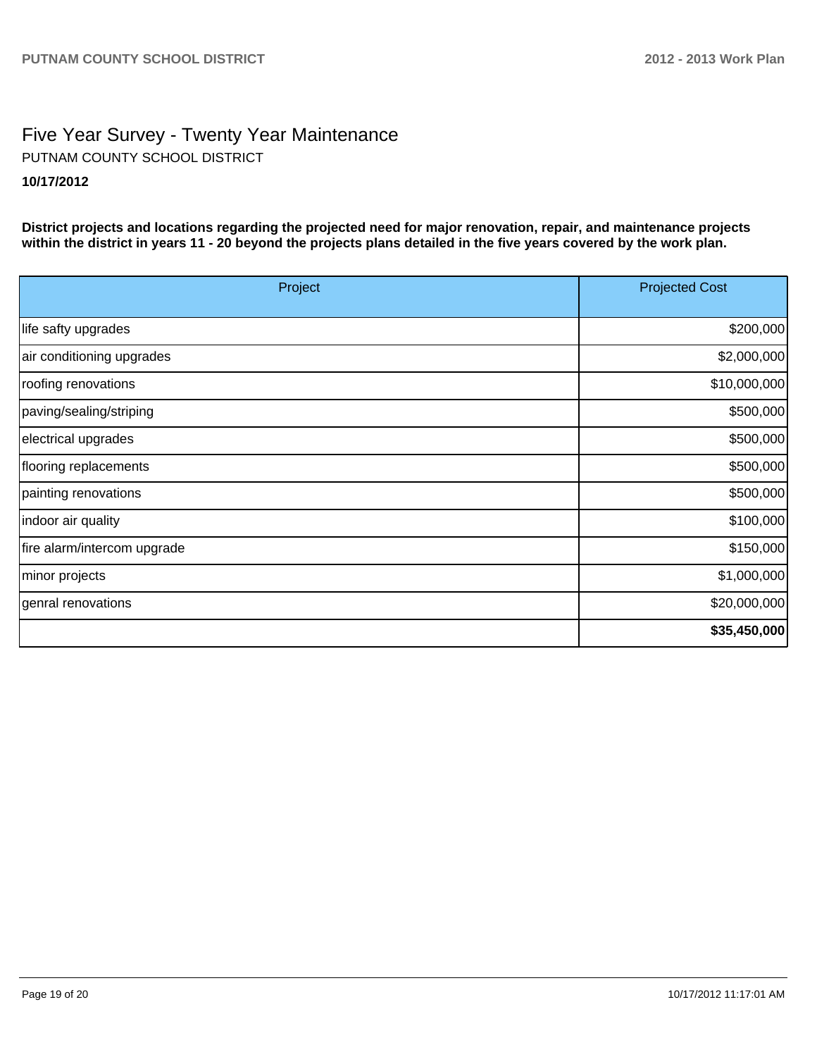# Five Year Survey - Twenty Year Maintenance **10/17/2012** PUTNAM COUNTY SCHOOL DISTRICT

**District projects and locations regarding the projected need for major renovation, repair, and maintenance projects within the district in years 11 - 20 beyond the projects plans detailed in the five years covered by the work plan.**

| Project                     | <b>Projected Cost</b> |
|-----------------------------|-----------------------|
| life safty upgrades         | \$200,000             |
| air conditioning upgrades   | \$2,000,000           |
| roofing renovations         | \$10,000,000          |
| paving/sealing/striping     | \$500,000             |
| electrical upgrades         | \$500,000             |
| flooring replacements       | \$500,000             |
| painting renovations        | \$500,000             |
| indoor air quality          | \$100,000             |
| fire alarm/intercom upgrade | \$150,000             |
| minor projects              | \$1,000,000           |
| genral renovations          | \$20,000,000          |
|                             | \$35,450,000          |